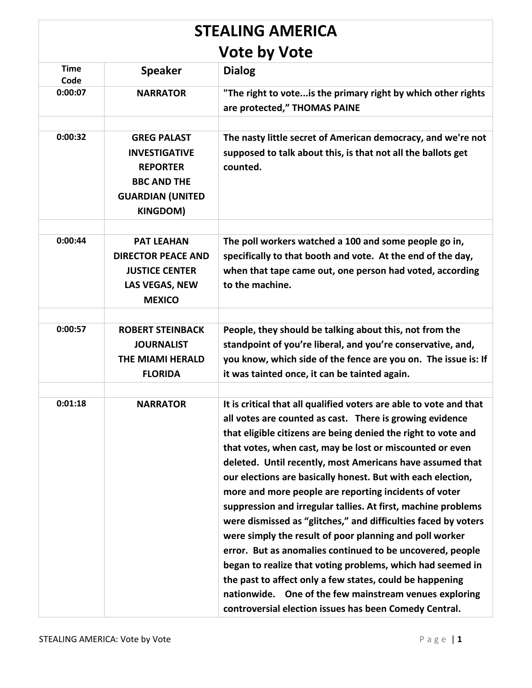| <b>STEALING AMERICA</b> |                                                                                                                                   |                                                                                                                                                                                                                                                                                                                                                                                                                                                                                                                                                                                                                                                                                                                                                                                                                                                                                                                                                           |  |
|-------------------------|-----------------------------------------------------------------------------------------------------------------------------------|-----------------------------------------------------------------------------------------------------------------------------------------------------------------------------------------------------------------------------------------------------------------------------------------------------------------------------------------------------------------------------------------------------------------------------------------------------------------------------------------------------------------------------------------------------------------------------------------------------------------------------------------------------------------------------------------------------------------------------------------------------------------------------------------------------------------------------------------------------------------------------------------------------------------------------------------------------------|--|
| <b>Vote by Vote</b>     |                                                                                                                                   |                                                                                                                                                                                                                                                                                                                                                                                                                                                                                                                                                                                                                                                                                                                                                                                                                                                                                                                                                           |  |
| <b>Time</b><br>Code     | <b>Speaker</b>                                                                                                                    | <b>Dialog</b>                                                                                                                                                                                                                                                                                                                                                                                                                                                                                                                                                                                                                                                                                                                                                                                                                                                                                                                                             |  |
| 0:00:07                 | <b>NARRATOR</b>                                                                                                                   | "The right to vote is the primary right by which other rights<br>are protected," THOMAS PAINE                                                                                                                                                                                                                                                                                                                                                                                                                                                                                                                                                                                                                                                                                                                                                                                                                                                             |  |
| 0:00:32                 | <b>GREG PALAST</b><br><b>INVESTIGATIVE</b><br><b>REPORTER</b><br><b>BBC AND THE</b><br><b>GUARDIAN (UNITED</b><br><b>KINGDOM)</b> | The nasty little secret of American democracy, and we're not<br>supposed to talk about this, is that not all the ballots get<br>counted.                                                                                                                                                                                                                                                                                                                                                                                                                                                                                                                                                                                                                                                                                                                                                                                                                  |  |
| 0:00:44                 | <b>PAT LEAHAN</b><br><b>DIRECTOR PEACE AND</b><br><b>JUSTICE CENTER</b><br>LAS VEGAS, NEW<br><b>MEXICO</b>                        | The poll workers watched a 100 and some people go in,<br>specifically to that booth and vote. At the end of the day,<br>when that tape came out, one person had voted, according<br>to the machine.                                                                                                                                                                                                                                                                                                                                                                                                                                                                                                                                                                                                                                                                                                                                                       |  |
|                         |                                                                                                                                   |                                                                                                                                                                                                                                                                                                                                                                                                                                                                                                                                                                                                                                                                                                                                                                                                                                                                                                                                                           |  |
| 0:00:57                 | <b>ROBERT STEINBACK</b><br><b>JOURNALIST</b><br><b>THE MIAMI HERALD</b><br><b>FLORIDA</b>                                         | People, they should be talking about this, not from the<br>standpoint of you're liberal, and you're conservative, and,<br>you know, which side of the fence are you on. The issue is: If<br>it was tainted once, it can be tainted again.                                                                                                                                                                                                                                                                                                                                                                                                                                                                                                                                                                                                                                                                                                                 |  |
|                         |                                                                                                                                   |                                                                                                                                                                                                                                                                                                                                                                                                                                                                                                                                                                                                                                                                                                                                                                                                                                                                                                                                                           |  |
| 0:01:18                 | <b>NARRATOR</b>                                                                                                                   | It is critical that all qualified voters are able to vote and that<br>all votes are counted as cast. There is growing evidence<br>that eligible citizens are being denied the right to vote and<br>that votes, when cast, may be lost or miscounted or even<br>deleted. Until recently, most Americans have assumed that<br>our elections are basically honest. But with each election,<br>more and more people are reporting incidents of voter<br>suppression and irregular tallies. At first, machine problems<br>were dismissed as "glitches," and difficulties faced by voters<br>were simply the result of poor planning and poll worker<br>error. But as anomalies continued to be uncovered, people<br>began to realize that voting problems, which had seemed in<br>the past to affect only a few states, could be happening<br>nationwide. One of the few mainstream venues exploring<br>controversial election issues has been Comedy Central. |  |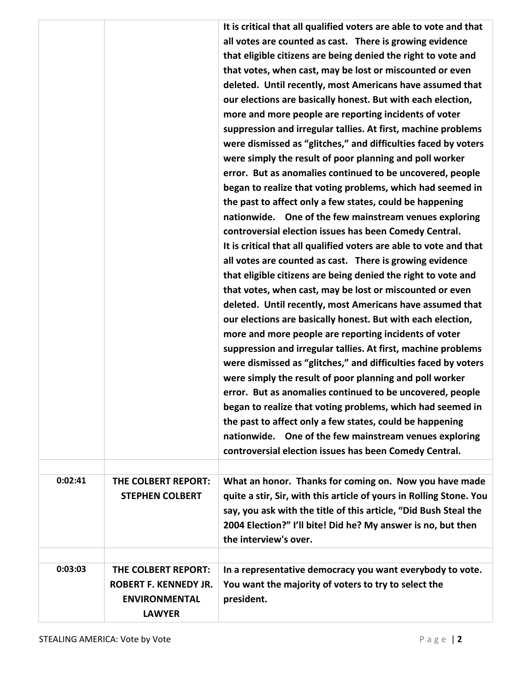|         |                                                                                              | It is critical that all qualified voters are able to vote and that<br>all votes are counted as cast. There is growing evidence<br>that eligible citizens are being denied the right to vote and<br>that votes, when cast, may be lost or miscounted or even<br>deleted. Until recently, most Americans have assumed that<br>our elections are basically honest. But with each election,<br>more and more people are reporting incidents of voter<br>suppression and irregular tallies. At first, machine problems<br>were dismissed as "glitches," and difficulties faced by voters<br>were simply the result of poor planning and poll worker<br>error. But as anomalies continued to be uncovered, people<br>began to realize that voting problems, which had seemed in<br>the past to affect only a few states, could be happening<br>nationwide. One of the few mainstream venues exploring<br>controversial election issues has been Comedy Central.<br>It is critical that all qualified voters are able to vote and that<br>all votes are counted as cast. There is growing evidence<br>that eligible citizens are being denied the right to vote and<br>that votes, when cast, may be lost or miscounted or even<br>deleted. Until recently, most Americans have assumed that<br>our elections are basically honest. But with each election,<br>more and more people are reporting incidents of voter<br>suppression and irregular tallies. At first, machine problems<br>were dismissed as "glitches," and difficulties faced by voters<br>were simply the result of poor planning and poll worker<br>error. But as anomalies continued to be uncovered, people<br>began to realize that voting problems, which had seemed in<br>the past to affect only a few states, could be happening<br>nationwide. One of the few mainstream venues exploring<br>controversial election issues has been Comedy Central. |
|---------|----------------------------------------------------------------------------------------------|------------------------------------------------------------------------------------------------------------------------------------------------------------------------------------------------------------------------------------------------------------------------------------------------------------------------------------------------------------------------------------------------------------------------------------------------------------------------------------------------------------------------------------------------------------------------------------------------------------------------------------------------------------------------------------------------------------------------------------------------------------------------------------------------------------------------------------------------------------------------------------------------------------------------------------------------------------------------------------------------------------------------------------------------------------------------------------------------------------------------------------------------------------------------------------------------------------------------------------------------------------------------------------------------------------------------------------------------------------------------------------------------------------------------------------------------------------------------------------------------------------------------------------------------------------------------------------------------------------------------------------------------------------------------------------------------------------------------------------------------------------------------------------------------------------------------------------------------------------------------------------------------------------------------|
| 0:02:41 | THE COLBERT REPORT:<br><b>STEPHEN COLBERT</b>                                                | What an honor. Thanks for coming on. Now you have made<br>quite a stir, Sir, with this article of yours in Rolling Stone. You<br>say, you ask with the title of this article, "Did Bush Steal the<br>2004 Election?" I'll bite! Did he? My answer is no, but then<br>the interview's over.                                                                                                                                                                                                                                                                                                                                                                                                                                                                                                                                                                                                                                                                                                                                                                                                                                                                                                                                                                                                                                                                                                                                                                                                                                                                                                                                                                                                                                                                                                                                                                                                                             |
| 0:03:03 | THE COLBERT REPORT:<br><b>ROBERT F. KENNEDY JR.</b><br><b>ENVIRONMENTAL</b><br><b>LAWYER</b> | In a representative democracy you want everybody to vote.<br>You want the majority of voters to try to select the<br>president.                                                                                                                                                                                                                                                                                                                                                                                                                                                                                                                                                                                                                                                                                                                                                                                                                                                                                                                                                                                                                                                                                                                                                                                                                                                                                                                                                                                                                                                                                                                                                                                                                                                                                                                                                                                        |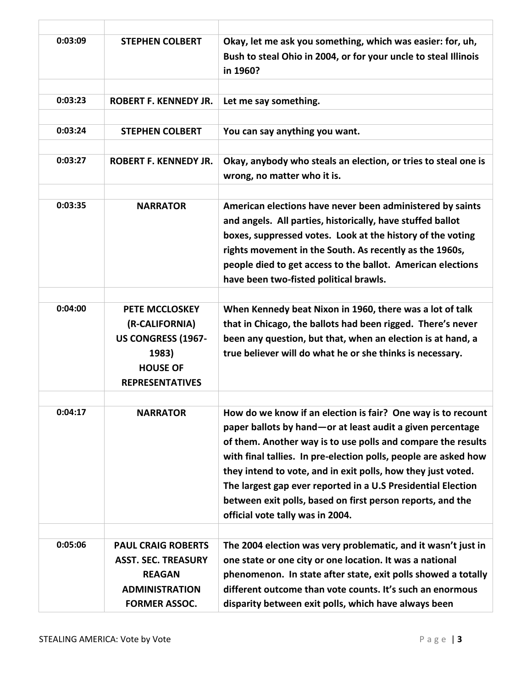| 0:03:09 | <b>STEPHEN COLBERT</b>                                                                                              | Okay, let me ask you something, which was easier: for, uh,<br>Bush to steal Ohio in 2004, or for your uncle to steal Illinois<br>in 1960?                                                                                                                                                                                                                                                                                                                                                         |
|---------|---------------------------------------------------------------------------------------------------------------------|---------------------------------------------------------------------------------------------------------------------------------------------------------------------------------------------------------------------------------------------------------------------------------------------------------------------------------------------------------------------------------------------------------------------------------------------------------------------------------------------------|
|         |                                                                                                                     |                                                                                                                                                                                                                                                                                                                                                                                                                                                                                                   |
| 0:03:23 | <b>ROBERT F. KENNEDY JR.</b>                                                                                        | Let me say something.                                                                                                                                                                                                                                                                                                                                                                                                                                                                             |
|         |                                                                                                                     |                                                                                                                                                                                                                                                                                                                                                                                                                                                                                                   |
| 0:03:24 | <b>STEPHEN COLBERT</b>                                                                                              | You can say anything you want.                                                                                                                                                                                                                                                                                                                                                                                                                                                                    |
|         |                                                                                                                     |                                                                                                                                                                                                                                                                                                                                                                                                                                                                                                   |
| 0:03:27 | <b>ROBERT F. KENNEDY JR.</b>                                                                                        | Okay, anybody who steals an election, or tries to steal one is<br>wrong, no matter who it is.                                                                                                                                                                                                                                                                                                                                                                                                     |
|         |                                                                                                                     |                                                                                                                                                                                                                                                                                                                                                                                                                                                                                                   |
| 0:03:35 | <b>NARRATOR</b>                                                                                                     | American elections have never been administered by saints<br>and angels. All parties, historically, have stuffed ballot<br>boxes, suppressed votes. Look at the history of the voting<br>rights movement in the South. As recently as the 1960s,<br>people died to get access to the ballot. American elections<br>have been two-fisted political brawls.                                                                                                                                         |
|         |                                                                                                                     |                                                                                                                                                                                                                                                                                                                                                                                                                                                                                                   |
| 0:04:00 | PETE MCCLOSKEY<br>(R-CALIFORNIA)<br><b>US CONGRESS (1967-</b><br>1983)<br><b>HOUSE OF</b><br><b>REPRESENTATIVES</b> | When Kennedy beat Nixon in 1960, there was a lot of talk<br>that in Chicago, the ballots had been rigged. There's never<br>been any question, but that, when an election is at hand, a<br>true believer will do what he or she thinks is necessary.                                                                                                                                                                                                                                               |
|         |                                                                                                                     |                                                                                                                                                                                                                                                                                                                                                                                                                                                                                                   |
| 0:04:17 | <b>NARRATOR</b>                                                                                                     | How do we know if an election is fair? One way is to recount<br>paper ballots by hand – or at least audit a given percentage<br>of them. Another way is to use polls and compare the results<br>with final tallies. In pre-election polls, people are asked how<br>they intend to vote, and in exit polls, how they just voted.<br>The largest gap ever reported in a U.S Presidential Election<br>between exit polls, based on first person reports, and the<br>official vote tally was in 2004. |
|         |                                                                                                                     |                                                                                                                                                                                                                                                                                                                                                                                                                                                                                                   |
| 0:05:06 | <b>PAUL CRAIG ROBERTS</b>                                                                                           | The 2004 election was very problematic, and it wasn't just in                                                                                                                                                                                                                                                                                                                                                                                                                                     |
|         | <b>ASST. SEC. TREASURY</b>                                                                                          | one state or one city or one location. It was a national                                                                                                                                                                                                                                                                                                                                                                                                                                          |
|         | <b>REAGAN</b>                                                                                                       | phenomenon. In state after state, exit polls showed a totally                                                                                                                                                                                                                                                                                                                                                                                                                                     |
|         | <b>ADMINISTRATION</b>                                                                                               | different outcome than vote counts. It's such an enormous                                                                                                                                                                                                                                                                                                                                                                                                                                         |
|         | <b>FORMER ASSOC.</b>                                                                                                | disparity between exit polls, which have always been                                                                                                                                                                                                                                                                                                                                                                                                                                              |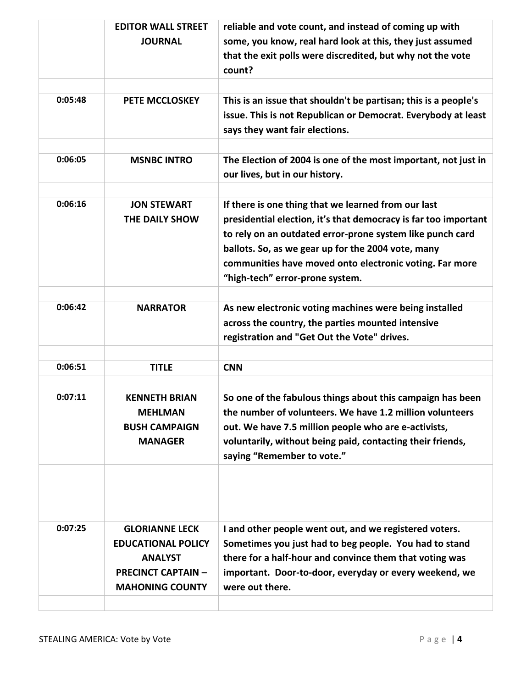|         | <b>EDITOR WALL STREET</b> | reliable and vote count, and instead of coming up with          |
|---------|---------------------------|-----------------------------------------------------------------|
|         | <b>JOURNAL</b>            | some, you know, real hard look at this, they just assumed       |
|         |                           | that the exit polls were discredited, but why not the vote      |
|         |                           | count?                                                          |
|         |                           |                                                                 |
| 0:05:48 | PETE MCCLOSKEY            | This is an issue that shouldn't be partisan; this is a people's |
|         |                           | issue. This is not Republican or Democrat. Everybody at least   |
|         |                           | says they want fair elections.                                  |
|         |                           |                                                                 |
| 0:06:05 | <b>MSNBC INTRO</b>        | The Election of 2004 is one of the most important, not just in  |
|         |                           | our lives, but in our history.                                  |
|         |                           |                                                                 |
| 0:06:16 | <b>JON STEWART</b>        | If there is one thing that we learned from our last             |
|         | THE DAILY SHOW            | presidential election, it's that democracy is far too important |
|         |                           | to rely on an outdated error-prone system like punch card       |
|         |                           | ballots. So, as we gear up for the 2004 vote, many              |
|         |                           | communities have moved onto electronic voting. Far more         |
|         |                           | "high-tech" error-prone system.                                 |
|         |                           |                                                                 |
| 0:06:42 | <b>NARRATOR</b>           | As new electronic voting machines were being installed          |
|         |                           | across the country, the parties mounted intensive               |
|         |                           | registration and "Get Out the Vote" drives.                     |
|         |                           |                                                                 |
| 0:06:51 | <b>TITLE</b>              | <b>CNN</b>                                                      |
|         |                           |                                                                 |
| 0:07:11 | <b>KENNETH BRIAN</b>      | So one of the fabulous things about this campaign has been      |
|         | <b>MEHLMAN</b>            | the number of volunteers. We have 1.2 million volunteers        |
|         | <b>BUSH CAMPAIGN</b>      | out. We have 7.5 million people who are e-activists,            |
|         | <b>MANAGER</b>            | voluntarily, without being paid, contacting their friends,      |
|         |                           | saying "Remember to vote."                                      |
|         |                           |                                                                 |
|         |                           |                                                                 |
|         |                           |                                                                 |
|         |                           |                                                                 |
| 0:07:25 | <b>GLORIANNE LECK</b>     | I and other people went out, and we registered voters.          |
|         | <b>EDUCATIONAL POLICY</b> | Sometimes you just had to beg people. You had to stand          |
|         | <b>ANALYST</b>            | there for a half-hour and convince them that voting was         |
|         | <b>PRECINCT CAPTAIN -</b> | important. Door-to-door, everyday or every weekend, we          |
|         | <b>MAHONING COUNTY</b>    | were out there.                                                 |
|         |                           |                                                                 |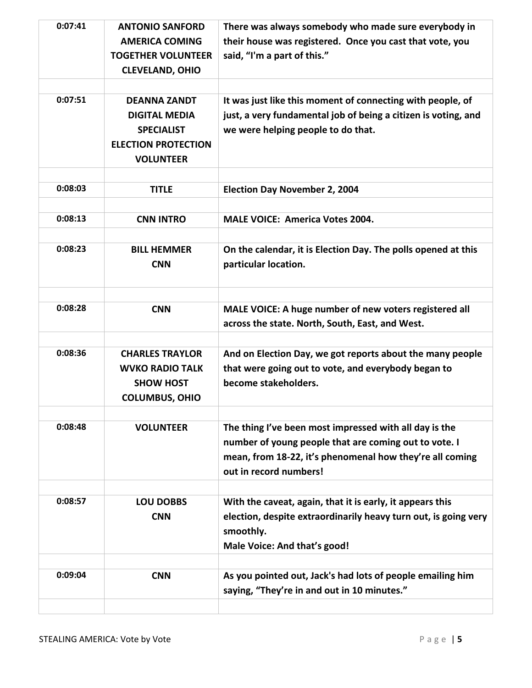| 0:07:41 | <b>ANTONIO SANFORD</b>     | There was always somebody who made sure everybody in            |
|---------|----------------------------|-----------------------------------------------------------------|
|         | <b>AMERICA COMING</b>      | their house was registered. Once you cast that vote, you        |
|         | <b>TOGETHER VOLUNTEER</b>  | said, "I'm a part of this."                                     |
|         | <b>CLEVELAND, OHIO</b>     |                                                                 |
|         |                            |                                                                 |
| 0:07:51 | <b>DEANNA ZANDT</b>        | It was just like this moment of connecting with people, of      |
|         | <b>DIGITAL MEDIA</b>       | just, a very fundamental job of being a citizen is voting, and  |
|         | <b>SPECIALIST</b>          | we were helping people to do that.                              |
|         | <b>ELECTION PROTECTION</b> |                                                                 |
|         | <b>VOLUNTEER</b>           |                                                                 |
|         |                            |                                                                 |
| 0:08:03 | <b>TITLE</b>               | <b>Election Day November 2, 2004</b>                            |
|         |                            |                                                                 |
| 0:08:13 | <b>CNN INTRO</b>           | <b>MALE VOICE: America Votes 2004.</b>                          |
|         |                            |                                                                 |
| 0:08:23 | <b>BILL HEMMER</b>         | On the calendar, it is Election Day. The polls opened at this   |
|         | <b>CNN</b>                 | particular location.                                            |
|         |                            |                                                                 |
|         |                            |                                                                 |
| 0:08:28 | <b>CNN</b>                 | MALE VOICE: A huge number of new voters registered all          |
|         |                            | across the state. North, South, East, and West.                 |
|         |                            |                                                                 |
| 0:08:36 | <b>CHARLES TRAYLOR</b>     | And on Election Day, we got reports about the many people       |
|         | <b>WVKO RADIO TALK</b>     | that were going out to vote, and everybody began to             |
|         | <b>SHOW HOST</b>           | become stakeholders.                                            |
|         | <b>COLUMBUS, OHIO</b>      |                                                                 |
|         |                            |                                                                 |
| 0:08:48 | <b>VOLUNTEER</b>           | The thing I've been most impressed with all day is the          |
|         |                            | number of young people that are coming out to vote. I           |
|         |                            | mean, from 18-22, it's phenomenal how they're all coming        |
|         |                            | out in record numbers!                                          |
|         |                            |                                                                 |
| 0:08:57 | <b>LOU DOBBS</b>           | With the caveat, again, that it is early, it appears this       |
|         | <b>CNN</b>                 | election, despite extraordinarily heavy turn out, is going very |
|         |                            | smoothly.                                                       |
|         |                            | Male Voice: And that's good!                                    |
|         |                            |                                                                 |
| 0:09:04 | <b>CNN</b>                 | As you pointed out, Jack's had lots of people emailing him      |
|         |                            | saying, "They're in and out in 10 minutes."                     |
|         |                            |                                                                 |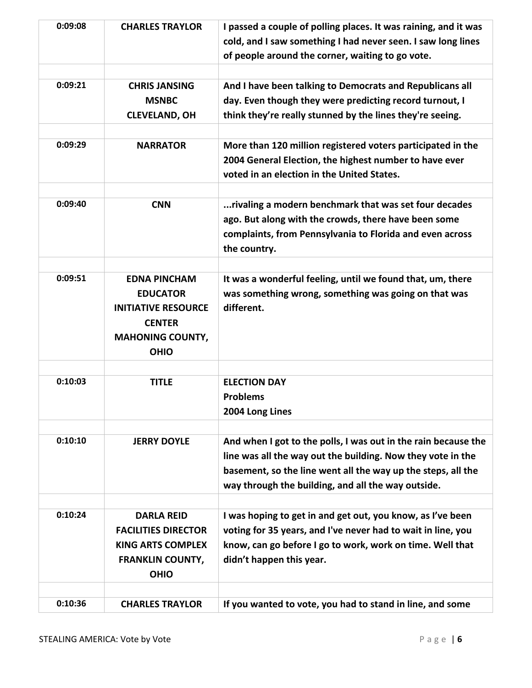| 0:09:08 | <b>CHARLES TRAYLOR</b>                                                                                                          | I passed a couple of polling places. It was raining, and it was<br>cold, and I saw something I had never seen. I saw long lines<br>of people around the corner, waiting to go vote.                                                                 |
|---------|---------------------------------------------------------------------------------------------------------------------------------|-----------------------------------------------------------------------------------------------------------------------------------------------------------------------------------------------------------------------------------------------------|
| 0:09:21 | <b>CHRIS JANSING</b><br><b>MSNBC</b><br><b>CLEVELAND, OH</b>                                                                    | And I have been talking to Democrats and Republicans all<br>day. Even though they were predicting record turnout, I<br>think they're really stunned by the lines they're seeing.                                                                    |
| 0:09:29 | <b>NARRATOR</b>                                                                                                                 | More than 120 million registered voters participated in the<br>2004 General Election, the highest number to have ever<br>voted in an election in the United States.                                                                                 |
| 0:09:40 | <b>CNN</b>                                                                                                                      | rivaling a modern benchmark that was set four decades<br>ago. But along with the crowds, there have been some<br>complaints, from Pennsylvania to Florida and even across<br>the country.                                                           |
| 0:09:51 | <b>EDNA PINCHAM</b><br><b>EDUCATOR</b><br><b>INITIATIVE RESOURCE</b><br><b>CENTER</b><br><b>MAHONING COUNTY,</b><br><b>OHIO</b> | It was a wonderful feeling, until we found that, um, there<br>was something wrong, something was going on that was<br>different.                                                                                                                    |
| 0:10:03 | <b>TITLE</b>                                                                                                                    | <b>ELECTION DAY</b><br><b>Problems</b><br>2004 Long Lines                                                                                                                                                                                           |
| 0:10:10 | <b>JERRY DOYLE</b>                                                                                                              | And when I got to the polls, I was out in the rain because the<br>line was all the way out the building. Now they vote in the<br>basement, so the line went all the way up the steps, all the<br>way through the building, and all the way outside. |
| 0:10:24 | <b>DARLA REID</b><br><b>FACILITIES DIRECTOR</b><br><b>KING ARTS COMPLEX</b><br><b>FRANKLIN COUNTY,</b><br><b>OHIO</b>           | I was hoping to get in and get out, you know, as I've been<br>voting for 35 years, and I've never had to wait in line, you<br>know, can go before I go to work, work on time. Well that<br>didn't happen this year.                                 |
| 0:10:36 | <b>CHARLES TRAYLOR</b>                                                                                                          | If you wanted to vote, you had to stand in line, and some                                                                                                                                                                                           |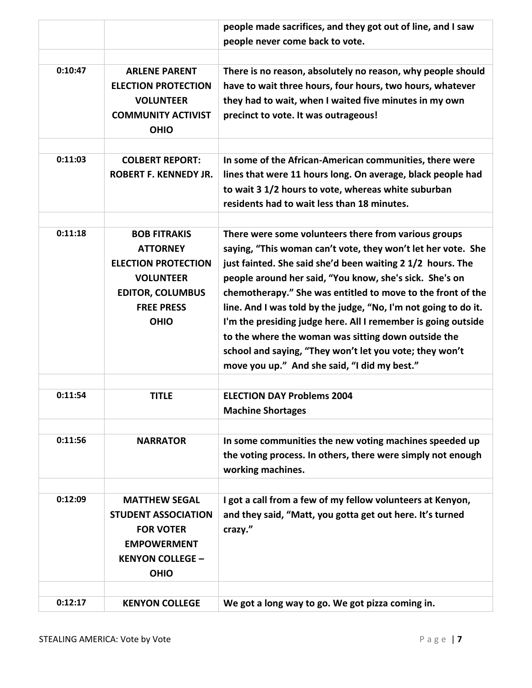|         |                                                                                                                                                         | people made sacrifices, and they got out of line, and I saw<br>people never come back to vote.                                                                                                                                                                                                                                                                                                                                                                                                                                                                                                                     |
|---------|---------------------------------------------------------------------------------------------------------------------------------------------------------|--------------------------------------------------------------------------------------------------------------------------------------------------------------------------------------------------------------------------------------------------------------------------------------------------------------------------------------------------------------------------------------------------------------------------------------------------------------------------------------------------------------------------------------------------------------------------------------------------------------------|
| 0:10:47 | <b>ARLENE PARENT</b><br><b>ELECTION PROTECTION</b><br><b>VOLUNTEER</b><br><b>COMMUNITY ACTIVIST</b><br><b>OHIO</b>                                      | There is no reason, absolutely no reason, why people should<br>have to wait three hours, four hours, two hours, whatever<br>they had to wait, when I waited five minutes in my own<br>precinct to vote. It was outrageous!                                                                                                                                                                                                                                                                                                                                                                                         |
| 0:11:03 | <b>COLBERT REPORT:</b><br><b>ROBERT F. KENNEDY JR.</b>                                                                                                  | In some of the African-American communities, there were<br>lines that were 11 hours long. On average, black people had<br>to wait 3 1/2 hours to vote, whereas white suburban<br>residents had to wait less than 18 minutes.                                                                                                                                                                                                                                                                                                                                                                                       |
| 0:11:18 | <b>BOB FITRAKIS</b><br><b>ATTORNEY</b><br><b>ELECTION PROTECTION</b><br><b>VOLUNTEER</b><br><b>EDITOR, COLUMBUS</b><br><b>FREE PRESS</b><br><b>OHIO</b> | There were some volunteers there from various groups<br>saying, "This woman can't vote, they won't let her vote. She<br>just fainted. She said she'd been waiting 2 1/2 hours. The<br>people around her said, "You know, she's sick. She's on<br>chemotherapy." She was entitled to move to the front of the<br>line. And I was told by the judge, "No, I'm not going to do it.<br>I'm the presiding judge here. All I remember is going outside<br>to the where the woman was sitting down outside the<br>school and saying, "They won't let you vote; they won't<br>move you up." And she said, "I did my best." |
| 0:11:54 | <b>TITLE</b>                                                                                                                                            | <b>ELECTION DAY Problems 2004</b><br><b>Machine Shortages</b>                                                                                                                                                                                                                                                                                                                                                                                                                                                                                                                                                      |
| 0:11:56 | <b>NARRATOR</b>                                                                                                                                         | In some communities the new voting machines speeded up<br>the voting process. In others, there were simply not enough<br>working machines.                                                                                                                                                                                                                                                                                                                                                                                                                                                                         |
| 0:12:09 | <b>MATTHEW SEGAL</b><br><b>STUDENT ASSOCIATION</b><br><b>FOR VOTER</b><br><b>EMPOWERMENT</b><br><b>KENYON COLLEGE -</b><br><b>OHIO</b>                  | I got a call from a few of my fellow volunteers at Kenyon,<br>and they said, "Matt, you gotta get out here. It's turned<br>crazy."                                                                                                                                                                                                                                                                                                                                                                                                                                                                                 |
| 0:12:17 | <b>KENYON COLLEGE</b>                                                                                                                                   | We got a long way to go. We got pizza coming in.                                                                                                                                                                                                                                                                                                                                                                                                                                                                                                                                                                   |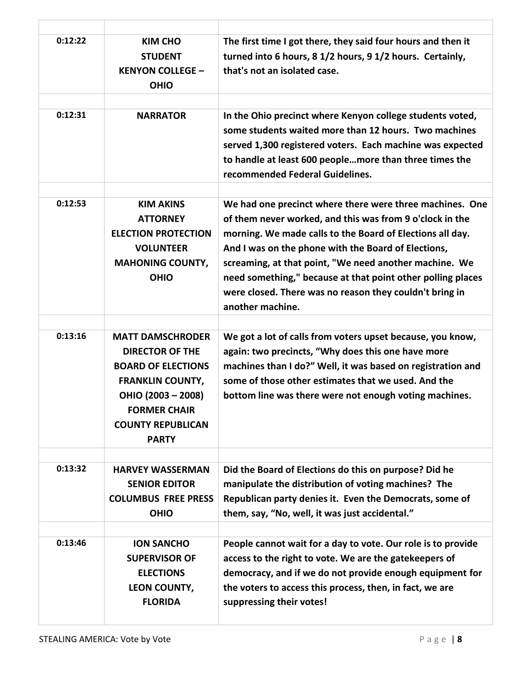| 0:12:22 | <b>KIM CHO</b><br><b>STUDENT</b><br><b>KENYON COLLEGE -</b><br><b>OHIO</b>                                                                                                                         | The first time I got there, they said four hours and then it<br>turned into 6 hours, 8 1/2 hours, 9 1/2 hours. Certainly,<br>that's not an isolated case.                                                                                                                                                                                                                                                                                        |
|---------|----------------------------------------------------------------------------------------------------------------------------------------------------------------------------------------------------|--------------------------------------------------------------------------------------------------------------------------------------------------------------------------------------------------------------------------------------------------------------------------------------------------------------------------------------------------------------------------------------------------------------------------------------------------|
| 0:12:31 | <b>NARRATOR</b>                                                                                                                                                                                    | In the Ohio precinct where Kenyon college students voted,<br>some students waited more than 12 hours. Two machines<br>served 1,300 registered voters. Each machine was expected<br>to handle at least 600 peoplemore than three times the<br>recommended Federal Guidelines.                                                                                                                                                                     |
| 0:12:53 | <b>KIM AKINS</b><br><b>ATTORNEY</b><br><b>ELECTION PROTECTION</b><br><b>VOLUNTEER</b><br><b>MAHONING COUNTY,</b><br><b>OHIO</b>                                                                    | We had one precinct where there were three machines. One<br>of them never worked, and this was from 9 o'clock in the<br>morning. We made calls to the Board of Elections all day.<br>And I was on the phone with the Board of Elections,<br>screaming, at that point, "We need another machine. We<br>need something," because at that point other polling places<br>were closed. There was no reason they couldn't bring in<br>another machine. |
| 0:13:16 | <b>MATT DAMSCHRODER</b><br><b>DIRECTOR OF THE</b><br><b>BOARD OF ELECTIONS</b><br><b>FRANKLIN COUNTY,</b><br>OHIO (2003 - 2008)<br><b>FORMER CHAIR</b><br><b>COUNTY REPUBLICAN</b><br><b>PARTY</b> | We got a lot of calls from voters upset because, you know,<br>again: two precincts, "Why does this one have more<br>machines than I do?" Well, it was based on registration and<br>some of those other estimates that we used. And the<br>bottom line was there were not enough voting machines.                                                                                                                                                 |
| 0:13:32 | <b>HARVEY WASSERMAN</b><br><b>SENIOR EDITOR</b><br><b>COLUMBUS FREE PRESS</b><br><b>OHIO</b>                                                                                                       | Did the Board of Elections do this on purpose? Did he<br>manipulate the distribution of voting machines? The<br>Republican party denies it. Even the Democrats, some of<br>them, say, "No, well, it was just accidental."                                                                                                                                                                                                                        |
| 0:13:46 | <b>ION SANCHO</b><br><b>SUPERVISOR OF</b><br><b>ELECTIONS</b><br>LEON COUNTY,<br><b>FLORIDA</b>                                                                                                    | People cannot wait for a day to vote. Our role is to provide<br>access to the right to vote. We are the gatekeepers of<br>democracy, and if we do not provide enough equipment for<br>the voters to access this process, then, in fact, we are<br>suppressing their votes!                                                                                                                                                                       |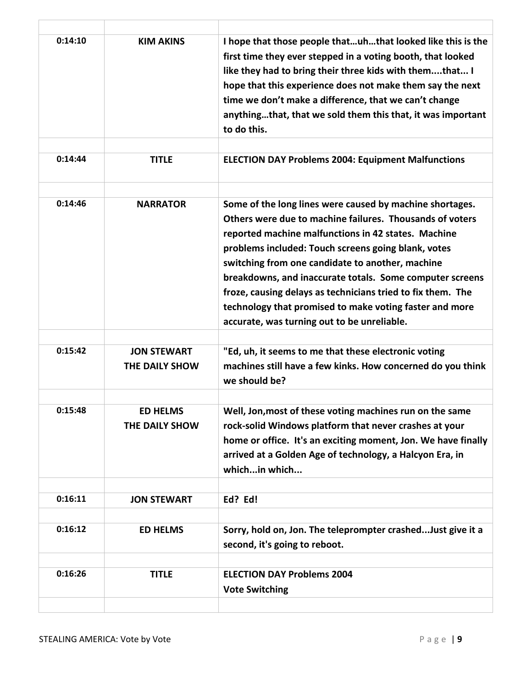| 0:14:10<br>0:14:44 | <b>KIM AKINS</b><br><b>TITLE</b> | I hope that those people thatuhthat looked like this is the<br>first time they ever stepped in a voting booth, that looked<br>like they had to bring their three kids with themthat I<br>hope that this experience does not make them say the next<br>time we don't make a difference, that we can't change<br>anythingthat, that we sold them this that, it was important<br>to do this.<br><b>ELECTION DAY Problems 2004: Equipment Malfunctions</b>                                                                      |
|--------------------|----------------------------------|-----------------------------------------------------------------------------------------------------------------------------------------------------------------------------------------------------------------------------------------------------------------------------------------------------------------------------------------------------------------------------------------------------------------------------------------------------------------------------------------------------------------------------|
|                    |                                  |                                                                                                                                                                                                                                                                                                                                                                                                                                                                                                                             |
| 0:14:46            | <b>NARRATOR</b>                  | Some of the long lines were caused by machine shortages.<br>Others were due to machine failures. Thousands of voters<br>reported machine malfunctions in 42 states. Machine<br>problems included: Touch screens going blank, votes<br>switching from one candidate to another, machine<br>breakdowns, and inaccurate totals. Some computer screens<br>froze, causing delays as technicians tried to fix them. The<br>technology that promised to make voting faster and more<br>accurate, was turning out to be unreliable. |
| 0:15:42            | <b>JON STEWART</b>               | "Ed, uh, it seems to me that these electronic voting                                                                                                                                                                                                                                                                                                                                                                                                                                                                        |
|                    | THE DAILY SHOW                   | machines still have a few kinks. How concerned do you think<br>we should be?                                                                                                                                                                                                                                                                                                                                                                                                                                                |
| 0:15:48            | <b>ED HELMS</b>                  | Well, Jon, most of these voting machines run on the same                                                                                                                                                                                                                                                                                                                                                                                                                                                                    |
|                    | THE DAILY SHOW                   | rock-solid Windows platform that never crashes at your<br>home or office. It's an exciting moment, Jon. We have finally<br>arrived at a Golden Age of technology, a Halcyon Era, in<br>whichin which                                                                                                                                                                                                                                                                                                                        |
| 0:16:11            | <b>JON STEWART</b>               | Ed? Ed!                                                                                                                                                                                                                                                                                                                                                                                                                                                                                                                     |
|                    |                                  |                                                                                                                                                                                                                                                                                                                                                                                                                                                                                                                             |
| 0:16:12            | <b>ED HELMS</b>                  | Sorry, hold on, Jon. The teleprompter crashedJust give it a<br>second, it's going to reboot.                                                                                                                                                                                                                                                                                                                                                                                                                                |
| 0:16:26            | <b>TITLE</b>                     | <b>ELECTION DAY Problems 2004</b><br><b>Vote Switching</b>                                                                                                                                                                                                                                                                                                                                                                                                                                                                  |

T

T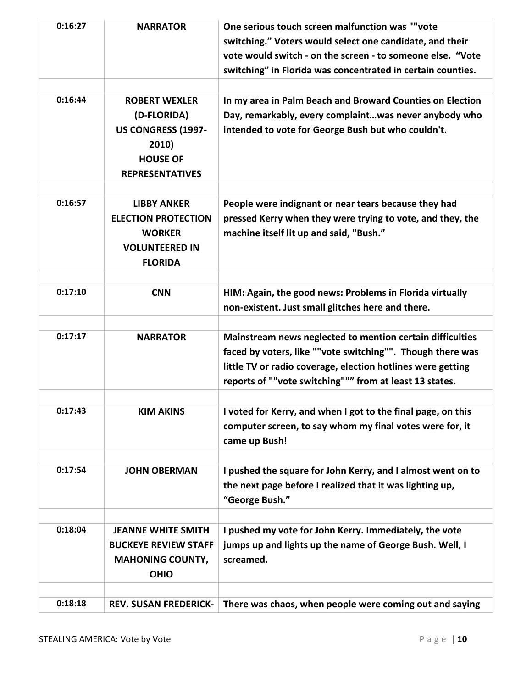| 0:16:27 | <b>NARRATOR</b>                                                                                                 | One serious touch screen malfunction was ""vote<br>switching." Voters would select one candidate, and their<br>vote would switch - on the screen - to someone else. "Vote<br>switching" in Florida was concentrated in certain counties.          |
|---------|-----------------------------------------------------------------------------------------------------------------|---------------------------------------------------------------------------------------------------------------------------------------------------------------------------------------------------------------------------------------------------|
| 0:16:44 | <b>ROBERT WEXLER</b><br>(D-FLORIDA)<br>US CONGRESS (1997-<br>2010)<br><b>HOUSE OF</b><br><b>REPRESENTATIVES</b> | In my area in Palm Beach and Broward Counties on Election<br>Day, remarkably, every complaintwas never anybody who<br>intended to vote for George Bush but who couldn't.                                                                          |
| 0:16:57 | <b>LIBBY ANKER</b><br><b>ELECTION PROTECTION</b><br><b>WORKER</b><br><b>VOLUNTEERED IN</b><br><b>FLORIDA</b>    | People were indignant or near tears because they had<br>pressed Kerry when they were trying to vote, and they, the<br>machine itself lit up and said, "Bush."                                                                                     |
| 0:17:10 | <b>CNN</b>                                                                                                      | HIM: Again, the good news: Problems in Florida virtually<br>non-existent. Just small glitches here and there.                                                                                                                                     |
| 0:17:17 | <b>NARRATOR</b>                                                                                                 | Mainstream news neglected to mention certain difficulties<br>faced by voters, like ""vote switching"". Though there was<br>little TV or radio coverage, election hotlines were getting<br>reports of ""vote switching""" from at least 13 states. |
| 0:17:43 | <b>KIM AKINS</b>                                                                                                | I voted for Kerry, and when I got to the final page, on this<br>computer screen, to say whom my final votes were for, it<br>came up Bush!                                                                                                         |
| 0:17:54 | <b>JOHN OBERMAN</b>                                                                                             | I pushed the square for John Kerry, and I almost went on to<br>the next page before I realized that it was lighting up,<br>"George Bush."                                                                                                         |
| 0:18:04 | <b>JEANNE WHITE SMITH</b><br><b>BUCKEYE REVIEW STAFF</b><br><b>MAHONING COUNTY,</b><br><b>OHIO</b>              | I pushed my vote for John Kerry. Immediately, the vote<br>jumps up and lights up the name of George Bush. Well, I<br>screamed.                                                                                                                    |
| 0:18:18 | <b>REV. SUSAN FREDERICK-</b>                                                                                    | There was chaos, when people were coming out and saying                                                                                                                                                                                           |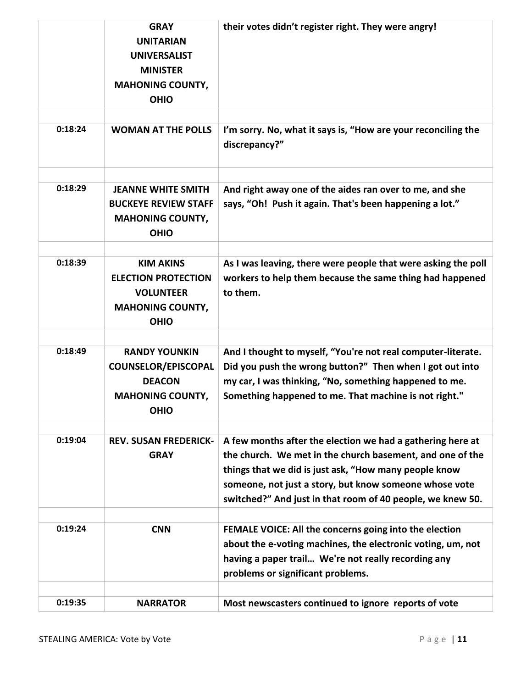|         | <b>GRAY</b><br><b>UNITARIAN</b><br><b>UNIVERSALIST</b><br><b>MINISTER</b><br><b>MAHONING COUNTY,</b><br><b>OHIO</b> | their votes didn't register right. They were angry!                                                                                                                                                                                                                                                      |
|---------|---------------------------------------------------------------------------------------------------------------------|----------------------------------------------------------------------------------------------------------------------------------------------------------------------------------------------------------------------------------------------------------------------------------------------------------|
| 0:18:24 | <b>WOMAN AT THE POLLS</b>                                                                                           | I'm sorry. No, what it says is, "How are your reconciling the<br>discrepancy?"                                                                                                                                                                                                                           |
| 0:18:29 | <b>JEANNE WHITE SMITH</b><br><b>BUCKEYE REVIEW STAFF</b><br><b>MAHONING COUNTY,</b><br><b>OHIO</b>                  | And right away one of the aides ran over to me, and she<br>says, "Oh! Push it again. That's been happening a lot."                                                                                                                                                                                       |
| 0:18:39 | <b>KIM AKINS</b><br><b>ELECTION PROTECTION</b><br><b>VOLUNTEER</b><br><b>MAHONING COUNTY,</b><br><b>OHIO</b>        | As I was leaving, there were people that were asking the poll<br>workers to help them because the same thing had happened<br>to them.                                                                                                                                                                    |
| 0:18:49 | <b>RANDY YOUNKIN</b><br><b>COUNSELOR/EPISCOPAL</b><br><b>DEACON</b><br><b>MAHONING COUNTY,</b><br><b>OHIO</b>       | And I thought to myself, "You're not real computer-literate.<br>Did you push the wrong button?" Then when I got out into<br>my car, I was thinking, "No, something happened to me.<br>Something happened to me. That machine is not right."                                                              |
| 0:19:04 | <b>REV. SUSAN FREDERICK-</b><br><b>GRAY</b>                                                                         | A few months after the election we had a gathering here at<br>the church. We met in the church basement, and one of the<br>things that we did is just ask, "How many people know<br>someone, not just a story, but know someone whose vote<br>switched?" And just in that room of 40 people, we knew 50. |
| 0:19:24 | <b>CNN</b>                                                                                                          | FEMALE VOICE: All the concerns going into the election<br>about the e-voting machines, the electronic voting, um, not<br>having a paper trail We're not really recording any<br>problems or significant problems.                                                                                        |
| 0:19:35 | <b>NARRATOR</b>                                                                                                     | Most newscasters continued to ignore reports of vote                                                                                                                                                                                                                                                     |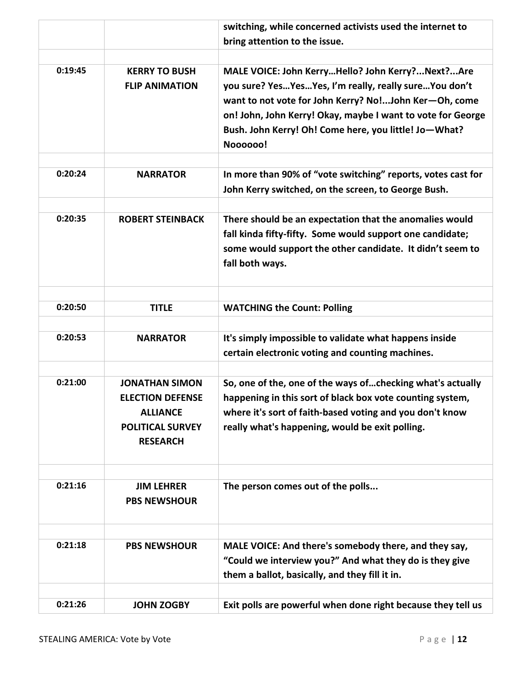|         |                                                                                                                   | switching, while concerned activists used the internet to                                                                                                                                                                                                                                              |
|---------|-------------------------------------------------------------------------------------------------------------------|--------------------------------------------------------------------------------------------------------------------------------------------------------------------------------------------------------------------------------------------------------------------------------------------------------|
|         |                                                                                                                   | bring attention to the issue.                                                                                                                                                                                                                                                                          |
| 0:19:45 | <b>KERRY TO BUSH</b><br><b>FLIP ANIMATION</b>                                                                     | MALE VOICE: John KerryHello? John Kerry?Next?Are<br>you sure? YesYesYes, I'm really, really sureYou don't<br>want to not vote for John Kerry? No!John Ker-Oh, come<br>on! John, John Kerry! Okay, maybe I want to vote for George<br>Bush. John Kerry! Oh! Come here, you little! Jo-What?<br>Noooooo! |
| 0:20:24 | <b>NARRATOR</b>                                                                                                   | In more than 90% of "vote switching" reports, votes cast for<br>John Kerry switched, on the screen, to George Bush.                                                                                                                                                                                    |
| 0:20:35 | <b>ROBERT STEINBACK</b>                                                                                           | There should be an expectation that the anomalies would<br>fall kinda fifty-fifty. Some would support one candidate;<br>some would support the other candidate. It didn't seem to<br>fall both ways.                                                                                                   |
| 0:20:50 | <b>TITLE</b>                                                                                                      | <b>WATCHING the Count: Polling</b>                                                                                                                                                                                                                                                                     |
| 0:20:53 | <b>NARRATOR</b>                                                                                                   | It's simply impossible to validate what happens inside<br>certain electronic voting and counting machines.                                                                                                                                                                                             |
| 0:21:00 | <b>JONATHAN SIMON</b><br><b>ELECTION DEFENSE</b><br><b>ALLIANCE</b><br><b>POLITICAL SURVEY</b><br><b>RESEARCH</b> | So, one of the, one of the ways of checking what's actually<br>happening in this sort of black box vote counting system,<br>where it's sort of faith-based voting and you don't know<br>really what's happening, would be exit polling.                                                                |
| 0:21:16 | <b>JIM LEHRER</b><br><b>PBS NEWSHOUR</b>                                                                          | The person comes out of the polls                                                                                                                                                                                                                                                                      |
| 0:21:18 | <b>PBS NEWSHOUR</b>                                                                                               | MALE VOICE: And there's somebody there, and they say,<br>"Could we interview you?" And what they do is they give<br>them a ballot, basically, and they fill it in.                                                                                                                                     |
| 0:21:26 | <b>JOHN ZOGBY</b>                                                                                                 | Exit polls are powerful when done right because they tell us                                                                                                                                                                                                                                           |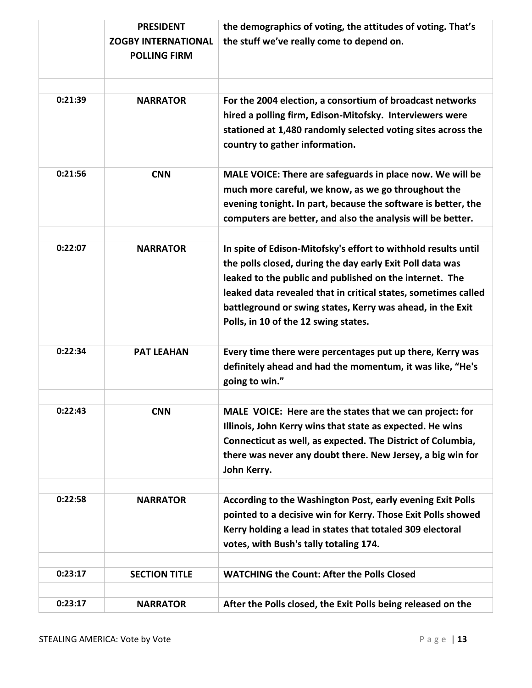|         | <b>PRESIDENT</b>           | the demographics of voting, the attitudes of voting. That's                                                              |
|---------|----------------------------|--------------------------------------------------------------------------------------------------------------------------|
|         | <b>ZOGBY INTERNATIONAL</b> | the stuff we've really come to depend on.                                                                                |
|         | <b>POLLING FIRM</b>        |                                                                                                                          |
|         |                            |                                                                                                                          |
|         |                            |                                                                                                                          |
| 0:21:39 | <b>NARRATOR</b>            | For the 2004 election, a consortium of broadcast networks                                                                |
|         |                            | hired a polling firm, Edison-Mitofsky. Interviewers were                                                                 |
|         |                            | stationed at 1,480 randomly selected voting sites across the                                                             |
|         |                            | country to gather information.                                                                                           |
| 0:21:56 | <b>CNN</b>                 | MALE VOICE: There are safeguards in place now. We will be                                                                |
|         |                            | much more careful, we know, as we go throughout the                                                                      |
|         |                            | evening tonight. In part, because the software is better, the                                                            |
|         |                            | computers are better, and also the analysis will be better.                                                              |
|         |                            |                                                                                                                          |
| 0:22:07 | <b>NARRATOR</b>            | In spite of Edison-Mitofsky's effort to withhold results until                                                           |
|         |                            | the polls closed, during the day early Exit Poll data was                                                                |
|         |                            | leaked to the public and published on the internet. The                                                                  |
|         |                            | leaked data revealed that in critical states, sometimes called                                                           |
|         |                            | battleground or swing states, Kerry was ahead, in the Exit                                                               |
|         |                            | Polls, in 10 of the 12 swing states.                                                                                     |
|         |                            |                                                                                                                          |
| 0:22:34 | <b>PAT LEAHAN</b>          | Every time there were percentages put up there, Kerry was                                                                |
|         |                            | definitely ahead and had the momentum, it was like, "He's                                                                |
|         |                            | going to win."                                                                                                           |
|         |                            |                                                                                                                          |
| 0:22:43 | <b>CNN</b>                 | MALE VOICE: Here are the states that we can project: for                                                                 |
|         |                            | Illinois, John Kerry wins that state as expected. He wins<br>Connecticut as well, as expected. The District of Columbia, |
|         |                            | there was never any doubt there. New Jersey, a big win for                                                               |
|         |                            | John Kerry.                                                                                                              |
|         |                            |                                                                                                                          |
| 0:22:58 | <b>NARRATOR</b>            | According to the Washington Post, early evening Exit Polls                                                               |
|         |                            | pointed to a decisive win for Kerry. Those Exit Polls showed                                                             |
|         |                            | Kerry holding a lead in states that totaled 309 electoral                                                                |
|         |                            | votes, with Bush's tally totaling 174.                                                                                   |
|         |                            |                                                                                                                          |
| 0:23:17 | <b>SECTION TITLE</b>       | <b>WATCHING the Count: After the Polls Closed</b>                                                                        |
|         |                            |                                                                                                                          |
| 0:23:17 | <b>NARRATOR</b>            | After the Polls closed, the Exit Polls being released on the                                                             |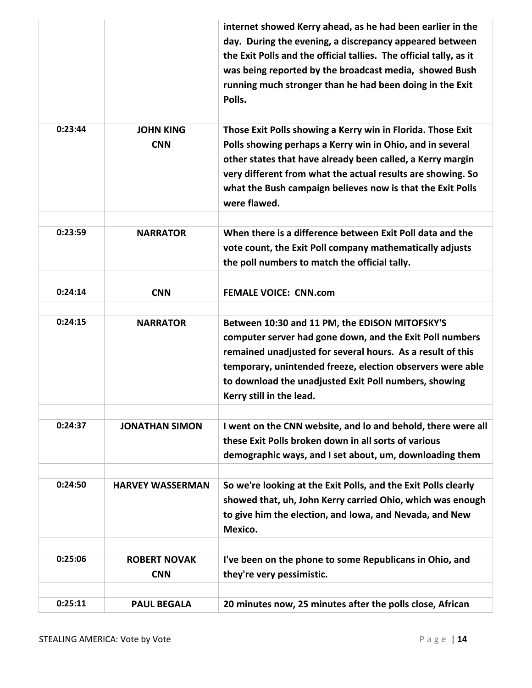|         |                                   | internet showed Kerry ahead, as he had been earlier in the<br>day. During the evening, a discrepancy appeared between<br>the Exit Polls and the official tallies. The official tally, as it<br>was being reported by the broadcast media, showed Bush<br>running much stronger than he had been doing in the Exit<br>Polls.         |
|---------|-----------------------------------|-------------------------------------------------------------------------------------------------------------------------------------------------------------------------------------------------------------------------------------------------------------------------------------------------------------------------------------|
| 0:23:44 | <b>JOHN KING</b><br><b>CNN</b>    | Those Exit Polls showing a Kerry win in Florida. Those Exit<br>Polls showing perhaps a Kerry win in Ohio, and in several<br>other states that have already been called, a Kerry margin<br>very different from what the actual results are showing. So<br>what the Bush campaign believes now is that the Exit Polls<br>were flawed. |
| 0:23:59 | <b>NARRATOR</b>                   | When there is a difference between Exit Poll data and the<br>vote count, the Exit Poll company mathematically adjusts<br>the poll numbers to match the official tally.                                                                                                                                                              |
| 0:24:14 | <b>CNN</b>                        | <b>FEMALE VOICE: CNN.com</b>                                                                                                                                                                                                                                                                                                        |
| 0:24:15 | <b>NARRATOR</b>                   | Between 10:30 and 11 PM, the EDISON MITOFSKY'S<br>computer server had gone down, and the Exit Poll numbers<br>remained unadjusted for several hours. As a result of this<br>temporary, unintended freeze, election observers were able<br>to download the unadjusted Exit Poll numbers, showing<br>Kerry still in the lead.         |
| 0:24:37 | <b>JONATHAN SIMON</b>             | I went on the CNN website, and Io and behold, there were all<br>these Exit Polls broken down in all sorts of various<br>demographic ways, and I set about, um, downloading them                                                                                                                                                     |
| 0:24:50 | <b>HARVEY WASSERMAN</b>           | So we're looking at the Exit Polls, and the Exit Polls clearly<br>showed that, uh, John Kerry carried Ohio, which was enough<br>to give him the election, and Iowa, and Nevada, and New<br>Mexico.                                                                                                                                  |
| 0:25:06 | <b>ROBERT NOVAK</b><br><b>CNN</b> | I've been on the phone to some Republicans in Ohio, and<br>they're very pessimistic.                                                                                                                                                                                                                                                |
| 0:25:11 | <b>PAUL BEGALA</b>                | 20 minutes now, 25 minutes after the polls close, African                                                                                                                                                                                                                                                                           |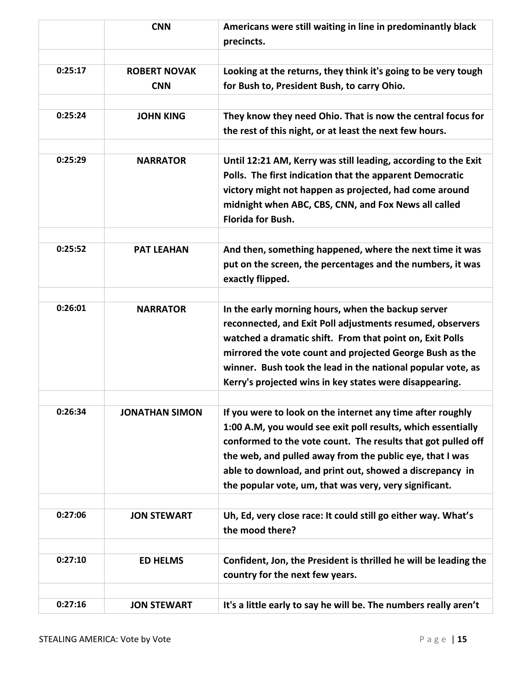|         | <b>CNN</b>                        | Americans were still waiting in line in predominantly black<br>precincts.                                                                                                                                                                                                                                                                                                    |
|---------|-----------------------------------|------------------------------------------------------------------------------------------------------------------------------------------------------------------------------------------------------------------------------------------------------------------------------------------------------------------------------------------------------------------------------|
| 0:25:17 | <b>ROBERT NOVAK</b><br><b>CNN</b> | Looking at the returns, they think it's going to be very tough<br>for Bush to, President Bush, to carry Ohio.                                                                                                                                                                                                                                                                |
| 0:25:24 | <b>JOHN KING</b>                  | They know they need Ohio. That is now the central focus for<br>the rest of this night, or at least the next few hours.                                                                                                                                                                                                                                                       |
| 0:25:29 | <b>NARRATOR</b>                   | Until 12:21 AM, Kerry was still leading, according to the Exit<br>Polls. The first indication that the apparent Democratic<br>victory might not happen as projected, had come around<br>midnight when ABC, CBS, CNN, and Fox News all called<br><b>Florida for Bush.</b>                                                                                                     |
| 0:25:52 | <b>PAT LEAHAN</b>                 | And then, something happened, where the next time it was<br>put on the screen, the percentages and the numbers, it was<br>exactly flipped.                                                                                                                                                                                                                                   |
| 0:26:01 | <b>NARRATOR</b>                   | In the early morning hours, when the backup server<br>reconnected, and Exit Poll adjustments resumed, observers<br>watched a dramatic shift. From that point on, Exit Polls<br>mirrored the vote count and projected George Bush as the<br>winner. Bush took the lead in the national popular vote, as<br>Kerry's projected wins in key states were disappearing.            |
| 0:26:34 | <b>JONATHAN SIMON</b>             | If you were to look on the internet any time after roughly<br>1:00 A.M, you would see exit poll results, which essentially<br>conformed to the vote count. The results that got pulled off<br>the web, and pulled away from the public eye, that I was<br>able to download, and print out, showed a discrepancy in<br>the popular vote, um, that was very, very significant. |
| 0:27:06 | <b>JON STEWART</b>                | Uh, Ed, very close race: It could still go either way. What's<br>the mood there?                                                                                                                                                                                                                                                                                             |
| 0:27:10 | <b>ED HELMS</b>                   | Confident, Jon, the President is thrilled he will be leading the<br>country for the next few years.                                                                                                                                                                                                                                                                          |
| 0:27:16 | <b>JON STEWART</b>                | It's a little early to say he will be. The numbers really aren't                                                                                                                                                                                                                                                                                                             |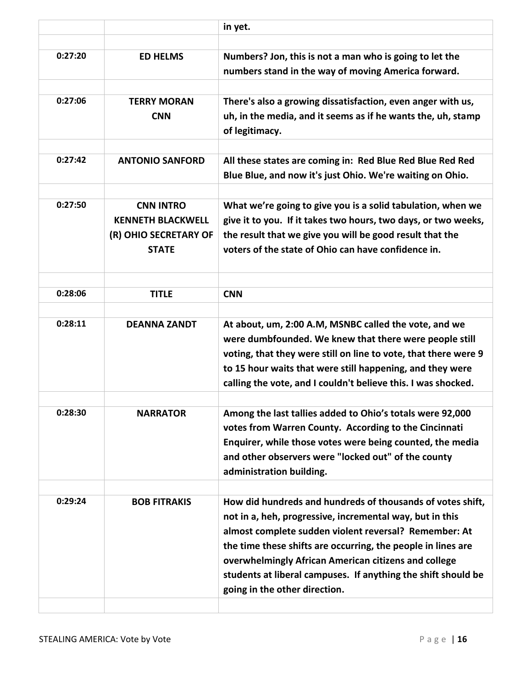|         |                                                                                       | in yet.                                                                                                                                                                                                                                                                                                                                                                                                   |
|---------|---------------------------------------------------------------------------------------|-----------------------------------------------------------------------------------------------------------------------------------------------------------------------------------------------------------------------------------------------------------------------------------------------------------------------------------------------------------------------------------------------------------|
| 0:27:20 | <b>ED HELMS</b>                                                                       | Numbers? Jon, this is not a man who is going to let the<br>numbers stand in the way of moving America forward.                                                                                                                                                                                                                                                                                            |
| 0:27:06 | <b>TERRY MORAN</b><br><b>CNN</b>                                                      | There's also a growing dissatisfaction, even anger with us,<br>uh, in the media, and it seems as if he wants the, uh, stamp<br>of legitimacy.                                                                                                                                                                                                                                                             |
| 0:27:42 | <b>ANTONIO SANFORD</b>                                                                | All these states are coming in: Red Blue Red Blue Red Red<br>Blue Blue, and now it's just Ohio. We're waiting on Ohio.                                                                                                                                                                                                                                                                                    |
| 0:27:50 | <b>CNN INTRO</b><br><b>KENNETH BLACKWELL</b><br>(R) OHIO SECRETARY OF<br><b>STATE</b> | What we're going to give you is a solid tabulation, when we<br>give it to you. If it takes two hours, two days, or two weeks,<br>the result that we give you will be good result that the<br>voters of the state of Ohio can have confidence in.                                                                                                                                                          |
| 0:28:06 | <b>TITLE</b>                                                                          | <b>CNN</b>                                                                                                                                                                                                                                                                                                                                                                                                |
| 0:28:11 | <b>DEANNA ZANDT</b>                                                                   | At about, um, 2:00 A.M, MSNBC called the vote, and we<br>were dumbfounded. We knew that there were people still<br>voting, that they were still on line to vote, that there were 9<br>to 15 hour waits that were still happening, and they were<br>calling the vote, and I couldn't believe this. I was shocked.                                                                                          |
| 0:28:30 | <b>NARRATOR</b>                                                                       | Among the last tallies added to Ohio's totals were 92,000<br>votes from Warren County. According to the Cincinnati<br>Enquirer, while those votes were being counted, the media<br>and other observers were "locked out" of the county<br>administration building.                                                                                                                                        |
| 0:29:24 | <b>BOB FITRAKIS</b>                                                                   | How did hundreds and hundreds of thousands of votes shift,<br>not in a, heh, progressive, incremental way, but in this<br>almost complete sudden violent reversal? Remember: At<br>the time these shifts are occurring, the people in lines are<br>overwhelmingly African American citizens and college<br>students at liberal campuses. If anything the shift should be<br>going in the other direction. |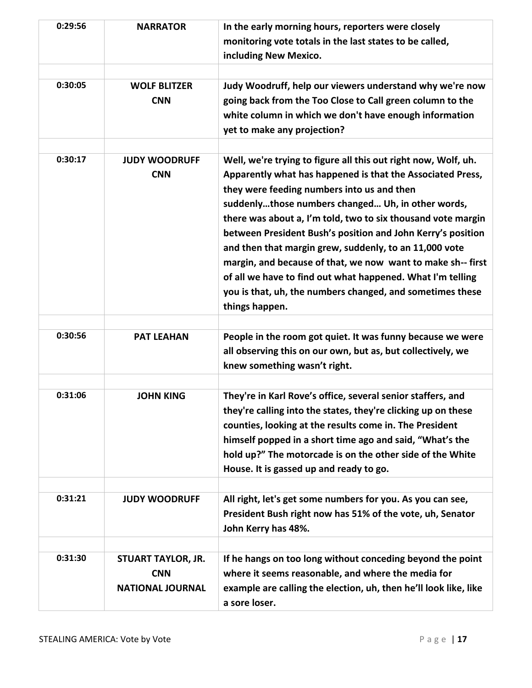| 0:29:56 | <b>NARRATOR</b>                                                    | In the early morning hours, reporters were closely<br>monitoring vote totals in the last states to be called,<br>including New Mexico.                                                                                                                                                                                                                                                                                                                                                                                                                                                                                               |
|---------|--------------------------------------------------------------------|--------------------------------------------------------------------------------------------------------------------------------------------------------------------------------------------------------------------------------------------------------------------------------------------------------------------------------------------------------------------------------------------------------------------------------------------------------------------------------------------------------------------------------------------------------------------------------------------------------------------------------------|
| 0:30:05 | <b>WOLF BLITZER</b><br><b>CNN</b>                                  | Judy Woodruff, help our viewers understand why we're now<br>going back from the Too Close to Call green column to the<br>white column in which we don't have enough information<br>yet to make any projection?                                                                                                                                                                                                                                                                                                                                                                                                                       |
| 0:30:17 | <b>JUDY WOODRUFF</b><br><b>CNN</b>                                 | Well, we're trying to figure all this out right now, Wolf, uh.<br>Apparently what has happened is that the Associated Press,<br>they were feeding numbers into us and then<br>suddenlythose numbers changed Uh, in other words,<br>there was about a, I'm told, two to six thousand vote margin<br>between President Bush's position and John Kerry's position<br>and then that margin grew, suddenly, to an 11,000 vote<br>margin, and because of that, we now want to make sh-- first<br>of all we have to find out what happened. What I'm telling<br>you is that, uh, the numbers changed, and sometimes these<br>things happen. |
| 0:30:56 | <b>PAT LEAHAN</b>                                                  | People in the room got quiet. It was funny because we were<br>all observing this on our own, but as, but collectively, we<br>knew something wasn't right.                                                                                                                                                                                                                                                                                                                                                                                                                                                                            |
| 0:31:06 | <b>JOHN KING</b>                                                   | They're in Karl Rove's office, several senior staffers, and<br>they're calling into the states, they're clicking up on these<br>counties, looking at the results come in. The President<br>himself popped in a short time ago and said, "What's the<br>hold up?" The motorcade is on the other side of the White<br>House. It is gassed up and ready to go.                                                                                                                                                                                                                                                                          |
| 0:31:21 | <b>JUDY WOODRUFF</b>                                               | All right, let's get some numbers for you. As you can see,<br>President Bush right now has 51% of the vote, uh, Senator<br>John Kerry has 48%.                                                                                                                                                                                                                                                                                                                                                                                                                                                                                       |
| 0:31:30 | <b>STUART TAYLOR, JR.</b><br><b>CNN</b><br><b>NATIONAL JOURNAL</b> | If he hangs on too long without conceding beyond the point<br>where it seems reasonable, and where the media for<br>example are calling the election, uh, then he'll look like, like<br>a sore loser.                                                                                                                                                                                                                                                                                                                                                                                                                                |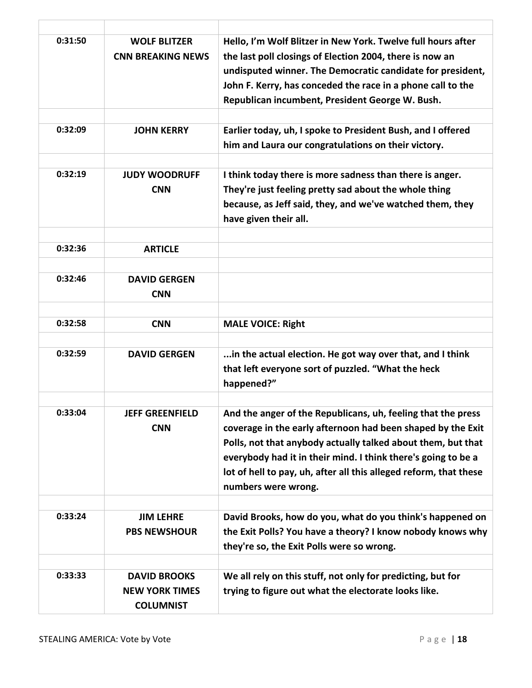| 0:31:50 | <b>WOLF BLITZER</b><br><b>CNN BREAKING NEWS</b>                  | Hello, I'm Wolf Blitzer in New York. Twelve full hours after<br>the last poll closings of Election 2004, there is now an<br>undisputed winner. The Democratic candidate for president,<br>John F. Kerry, has conceded the race in a phone call to the<br>Republican incumbent, President George W. Bush.                                                 |
|---------|------------------------------------------------------------------|----------------------------------------------------------------------------------------------------------------------------------------------------------------------------------------------------------------------------------------------------------------------------------------------------------------------------------------------------------|
| 0:32:09 | <b>JOHN KERRY</b>                                                | Earlier today, uh, I spoke to President Bush, and I offered<br>him and Laura our congratulations on their victory.                                                                                                                                                                                                                                       |
| 0:32:19 | <b>JUDY WOODRUFF</b><br><b>CNN</b>                               | I think today there is more sadness than there is anger.<br>They're just feeling pretty sad about the whole thing<br>because, as Jeff said, they, and we've watched them, they<br>have given their all.                                                                                                                                                  |
| 0:32:36 | <b>ARTICLE</b>                                                   |                                                                                                                                                                                                                                                                                                                                                          |
| 0:32:46 | <b>DAVID GERGEN</b><br><b>CNN</b>                                |                                                                                                                                                                                                                                                                                                                                                          |
| 0:32:58 | <b>CNN</b>                                                       | <b>MALE VOICE: Right</b>                                                                                                                                                                                                                                                                                                                                 |
| 0:32:59 | <b>DAVID GERGEN</b>                                              | in the actual election. He got way over that, and I think<br>that left everyone sort of puzzled. "What the heck<br>happened?"                                                                                                                                                                                                                            |
| 0:33:04 | <b>JEFF GREENFIELD</b><br><b>CNN</b>                             | And the anger of the Republicans, uh, feeling that the press<br>coverage in the early afternoon had been shaped by the Exit<br>Polls, not that anybody actually talked about them, but that<br>everybody had it in their mind. I think there's going to be a<br>lot of hell to pay, uh, after all this alleged reform, that these<br>numbers were wrong. |
| 0:33:24 | <b>JIM LEHRE</b><br><b>PBS NEWSHOUR</b>                          | David Brooks, how do you, what do you think's happened on<br>the Exit Polls? You have a theory? I know nobody knows why<br>they're so, the Exit Polls were so wrong.                                                                                                                                                                                     |
| 0:33:33 | <b>DAVID BROOKS</b><br><b>NEW YORK TIMES</b><br><b>COLUMNIST</b> | We all rely on this stuff, not only for predicting, but for<br>trying to figure out what the electorate looks like.                                                                                                                                                                                                                                      |

 $\overline{1}$ 

 $\Gamma$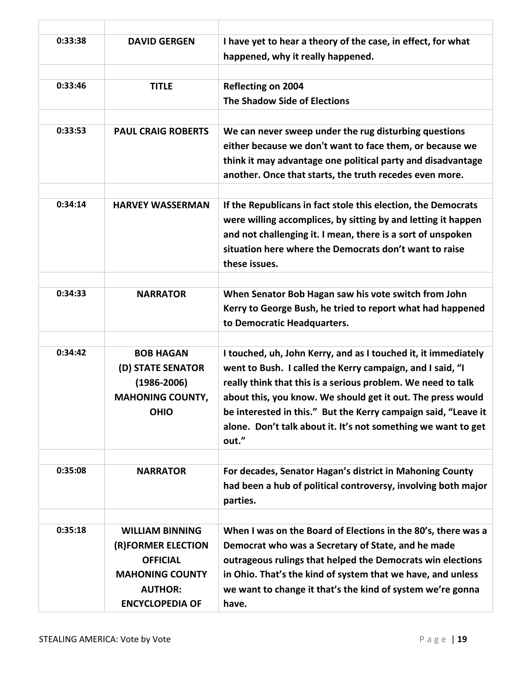| 0:33:38 | <b>DAVID GERGEN</b>                                                                                                                   | I have yet to hear a theory of the case, in effect, for what<br>happened, why it really happened.                                                                                                                                                                                                                                                                                                      |
|---------|---------------------------------------------------------------------------------------------------------------------------------------|--------------------------------------------------------------------------------------------------------------------------------------------------------------------------------------------------------------------------------------------------------------------------------------------------------------------------------------------------------------------------------------------------------|
| 0:33:46 | <b>TITLE</b>                                                                                                                          | Reflecting on 2004<br><b>The Shadow Side of Elections</b>                                                                                                                                                                                                                                                                                                                                              |
| 0:33:53 | <b>PAUL CRAIG ROBERTS</b>                                                                                                             | We can never sweep under the rug disturbing questions<br>either because we don't want to face them, or because we<br>think it may advantage one political party and disadvantage<br>another. Once that starts, the truth recedes even more.                                                                                                                                                            |
| 0:34:14 | <b>HARVEY WASSERMAN</b>                                                                                                               | If the Republicans in fact stole this election, the Democrats<br>were willing accomplices, by sitting by and letting it happen<br>and not challenging it. I mean, there is a sort of unspoken<br>situation here where the Democrats don't want to raise<br>these issues.                                                                                                                               |
| 0:34:33 | <b>NARRATOR</b>                                                                                                                       | When Senator Bob Hagan saw his vote switch from John<br>Kerry to George Bush, he tried to report what had happened<br>to Democratic Headquarters.                                                                                                                                                                                                                                                      |
| 0:34:42 | <b>BOB HAGAN</b><br>(D) STATE SENATOR<br>$(1986 - 2006)$<br><b>MAHONING COUNTY,</b><br><b>OHIO</b>                                    | I touched, uh, John Kerry, and as I touched it, it immediately<br>went to Bush. I called the Kerry campaign, and I said, "I<br>really think that this is a serious problem. We need to talk<br>about this, you know. We should get it out. The press would<br>be interested in this." But the Kerry campaign said, "Leave it<br>alone. Don't talk about it. It's not something we want to get<br>out." |
| 0:35:08 | <b>NARRATOR</b>                                                                                                                       | For decades, Senator Hagan's district in Mahoning County<br>had been a hub of political controversy, involving both major<br>parties.                                                                                                                                                                                                                                                                  |
| 0:35:18 | <b>WILLIAM BINNING</b><br>(R)FORMER ELECTION<br><b>OFFICIAL</b><br><b>MAHONING COUNTY</b><br><b>AUTHOR:</b><br><b>ENCYCLOPEDIA OF</b> | When I was on the Board of Elections in the 80's, there was a<br>Democrat who was a Secretary of State, and he made<br>outrageous rulings that helped the Democrats win elections<br>in Ohio. That's the kind of system that we have, and unless<br>we want to change it that's the kind of system we're gonna<br>have.                                                                                |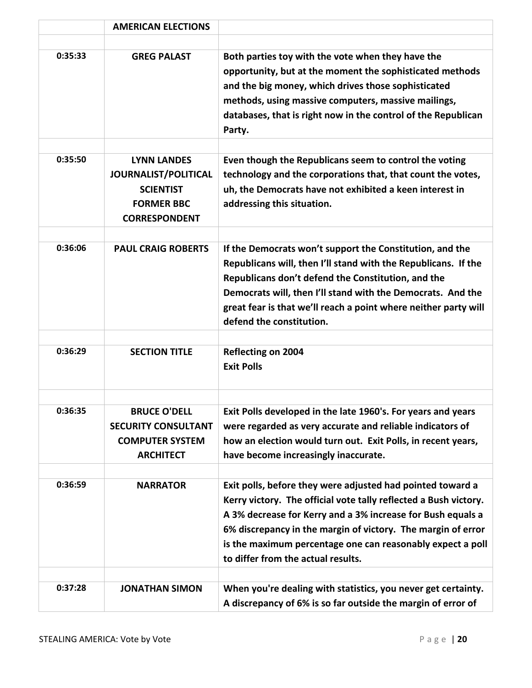|         | <b>AMERICAN ELECTIONS</b>                                                                                   |                                                                                                                                                                                                                                                                                                                                                                   |
|---------|-------------------------------------------------------------------------------------------------------------|-------------------------------------------------------------------------------------------------------------------------------------------------------------------------------------------------------------------------------------------------------------------------------------------------------------------------------------------------------------------|
| 0:35:33 | <b>GREG PALAST</b>                                                                                          | Both parties toy with the vote when they have the<br>opportunity, but at the moment the sophisticated methods<br>and the big money, which drives those sophisticated<br>methods, using massive computers, massive mailings,<br>databases, that is right now in the control of the Republican<br>Party.                                                            |
| 0:35:50 | <b>LYNN LANDES</b><br>JOURNALIST/POLITICAL<br><b>SCIENTIST</b><br><b>FORMER BBC</b><br><b>CORRESPONDENT</b> | Even though the Republicans seem to control the voting<br>technology and the corporations that, that count the votes,<br>uh, the Democrats have not exhibited a keen interest in<br>addressing this situation.                                                                                                                                                    |
| 0:36:06 | <b>PAUL CRAIG ROBERTS</b>                                                                                   | If the Democrats won't support the Constitution, and the<br>Republicans will, then I'll stand with the Republicans. If the<br>Republicans don't defend the Constitution, and the<br>Democrats will, then I'll stand with the Democrats. And the<br>great fear is that we'll reach a point where neither party will<br>defend the constitution.                    |
| 0:36:29 | <b>SECTION TITLE</b>                                                                                        | <b>Reflecting on 2004</b><br><b>Exit Polls</b>                                                                                                                                                                                                                                                                                                                    |
| 0:36:35 | <b>BRUCE O'DELL</b><br><b>SECURITY CONSULTANT</b><br><b>COMPUTER SYSTEM</b><br><b>ARCHITECT</b>             | Exit Polls developed in the late 1960's. For years and years<br>were regarded as very accurate and reliable indicators of<br>how an election would turn out. Exit Polls, in recent years,<br>have become increasingly inaccurate.                                                                                                                                 |
| 0:36:59 | <b>NARRATOR</b>                                                                                             | Exit polls, before they were adjusted had pointed toward a<br>Kerry victory. The official vote tally reflected a Bush victory.<br>A 3% decrease for Kerry and a 3% increase for Bush equals a<br>6% discrepancy in the margin of victory. The margin of error<br>is the maximum percentage one can reasonably expect a poll<br>to differ from the actual results. |
| 0:37:28 | <b>JONATHAN SIMON</b>                                                                                       | When you're dealing with statistics, you never get certainty.<br>A discrepancy of 6% is so far outside the margin of error of                                                                                                                                                                                                                                     |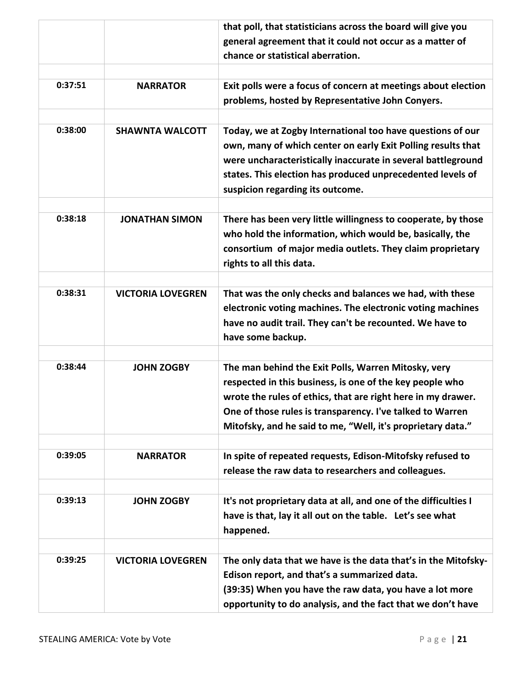|         |                          | that poll, that statisticians across the board will give you                                                                                                                                                                                                                                                |
|---------|--------------------------|-------------------------------------------------------------------------------------------------------------------------------------------------------------------------------------------------------------------------------------------------------------------------------------------------------------|
|         |                          | general agreement that it could not occur as a matter of                                                                                                                                                                                                                                                    |
|         |                          | chance or statistical aberration.                                                                                                                                                                                                                                                                           |
|         |                          |                                                                                                                                                                                                                                                                                                             |
| 0:37:51 | <b>NARRATOR</b>          | Exit polls were a focus of concern at meetings about election                                                                                                                                                                                                                                               |
|         |                          | problems, hosted by Representative John Conyers.                                                                                                                                                                                                                                                            |
|         |                          |                                                                                                                                                                                                                                                                                                             |
| 0:38:00 | <b>SHAWNTA WALCOTT</b>   | Today, we at Zogby International too have questions of our<br>own, many of which center on early Exit Polling results that<br>were uncharacteristically inaccurate in several battleground<br>states. This election has produced unprecedented levels of<br>suspicion regarding its outcome.                |
| 0:38:18 | <b>JONATHAN SIMON</b>    |                                                                                                                                                                                                                                                                                                             |
|         |                          | There has been very little willingness to cooperate, by those<br>who hold the information, which would be, basically, the<br>consortium of major media outlets. They claim proprietary<br>rights to all this data.                                                                                          |
|         |                          |                                                                                                                                                                                                                                                                                                             |
| 0:38:31 | <b>VICTORIA LOVEGREN</b> | That was the only checks and balances we had, with these<br>electronic voting machines. The electronic voting machines<br>have no audit trail. They can't be recounted. We have to<br>have some backup.                                                                                                     |
|         |                          |                                                                                                                                                                                                                                                                                                             |
| 0:38:44 | <b>JOHN ZOGBY</b>        | The man behind the Exit Polls, Warren Mitosky, very<br>respected in this business, is one of the key people who<br>wrote the rules of ethics, that are right here in my drawer.<br>One of those rules is transparency. I've talked to Warren<br>Mitofsky, and he said to me, "Well, it's proprietary data." |
| 0:39:05 | <b>NARRATOR</b>          | In spite of repeated requests, Edison-Mitofsky refused to                                                                                                                                                                                                                                                   |
|         |                          | release the raw data to researchers and colleagues.                                                                                                                                                                                                                                                         |
|         |                          |                                                                                                                                                                                                                                                                                                             |
| 0:39:13 | <b>JOHN ZOGBY</b>        | It's not proprietary data at all, and one of the difficulties I<br>have is that, lay it all out on the table. Let's see what<br>happened.                                                                                                                                                                   |
|         |                          |                                                                                                                                                                                                                                                                                                             |
| 0:39:25 | <b>VICTORIA LOVEGREN</b> | The only data that we have is the data that's in the Mitofsky-<br>Edison report, and that's a summarized data.                                                                                                                                                                                              |
|         |                          | (39:35) When you have the raw data, you have a lot more                                                                                                                                                                                                                                                     |
|         |                          | opportunity to do analysis, and the fact that we don't have                                                                                                                                                                                                                                                 |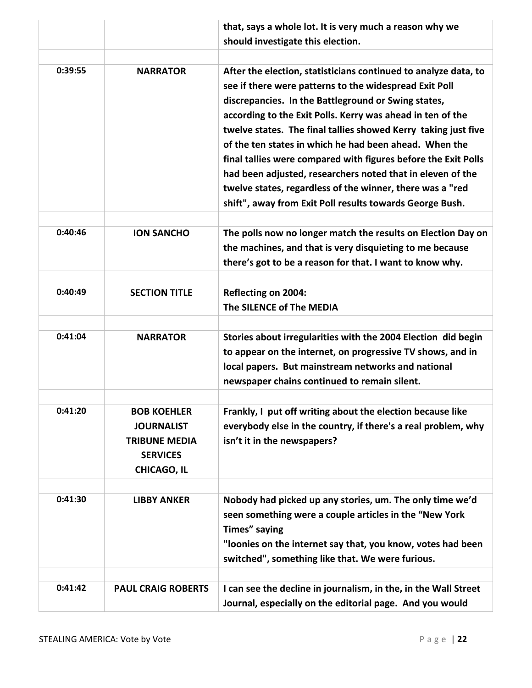|         |                                                                                                          | that, says a whole lot. It is very much a reason why we                                                                                                                                                                                                                                                                                                                                                                                                                                                                                                                                                                             |
|---------|----------------------------------------------------------------------------------------------------------|-------------------------------------------------------------------------------------------------------------------------------------------------------------------------------------------------------------------------------------------------------------------------------------------------------------------------------------------------------------------------------------------------------------------------------------------------------------------------------------------------------------------------------------------------------------------------------------------------------------------------------------|
|         |                                                                                                          | should investigate this election.                                                                                                                                                                                                                                                                                                                                                                                                                                                                                                                                                                                                   |
|         |                                                                                                          |                                                                                                                                                                                                                                                                                                                                                                                                                                                                                                                                                                                                                                     |
| 0:39:55 | <b>NARRATOR</b>                                                                                          | After the election, statisticians continued to analyze data, to<br>see if there were patterns to the widespread Exit Poll<br>discrepancies. In the Battleground or Swing states,<br>according to the Exit Polls. Kerry was ahead in ten of the<br>twelve states. The final tallies showed Kerry taking just five<br>of the ten states in which he had been ahead. When the<br>final tallies were compared with figures before the Exit Polls<br>had been adjusted, researchers noted that in eleven of the<br>twelve states, regardless of the winner, there was a "red<br>shift", away from Exit Poll results towards George Bush. |
| 0:40:46 | <b>ION SANCHO</b>                                                                                        | The polls now no longer match the results on Election Day on<br>the machines, and that is very disquieting to me because<br>there's got to be a reason for that. I want to know why.                                                                                                                                                                                                                                                                                                                                                                                                                                                |
| 0:40:49 | <b>SECTION TITLE</b>                                                                                     | <b>Reflecting on 2004:</b><br>The SILENCE of The MEDIA                                                                                                                                                                                                                                                                                                                                                                                                                                                                                                                                                                              |
| 0:41:04 | <b>NARRATOR</b>                                                                                          | Stories about irregularities with the 2004 Election did begin<br>to appear on the internet, on progressive TV shows, and in<br>local papers. But mainstream networks and national<br>newspaper chains continued to remain silent.                                                                                                                                                                                                                                                                                                                                                                                                   |
| 0:41:20 | <b>BOB KOEHLER</b><br><b>JOURNALIST</b><br><b>TRIBUNE MEDIA</b><br><b>SERVICES</b><br><b>CHICAGO, IL</b> | Frankly, I put off writing about the election because like<br>everybody else in the country, if there's a real problem, why<br>isn't it in the newspapers?                                                                                                                                                                                                                                                                                                                                                                                                                                                                          |
| 0:41:30 | <b>LIBBY ANKER</b>                                                                                       | Nobody had picked up any stories, um. The only time we'd<br>seen something were a couple articles in the "New York<br>Times" saying<br>"loonies on the internet say that, you know, votes had been<br>switched", something like that. We were furious.                                                                                                                                                                                                                                                                                                                                                                              |
| 0:41:42 | <b>PAUL CRAIG ROBERTS</b>                                                                                | I can see the decline in journalism, in the, in the Wall Street<br>Journal, especially on the editorial page. And you would                                                                                                                                                                                                                                                                                                                                                                                                                                                                                                         |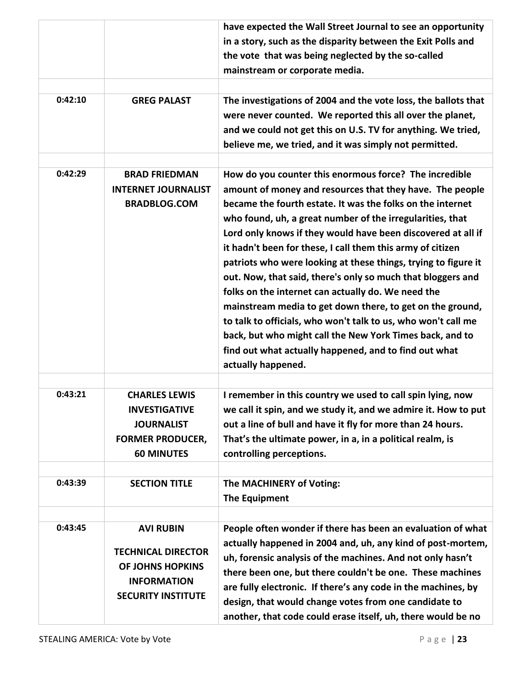| 0:42:10 | <b>GREG PALAST</b>                                                                                                   | have expected the Wall Street Journal to see an opportunity<br>in a story, such as the disparity between the Exit Polls and<br>the vote that was being neglected by the so-called<br>mainstream or corporate media.<br>The investigations of 2004 and the vote loss, the ballots that<br>were never counted. We reported this all over the planet,<br>and we could not get this on U.S. TV for anything. We tried,                                                                                                                                                                                                                                                                                                                                                                                                                          |
|---------|----------------------------------------------------------------------------------------------------------------------|---------------------------------------------------------------------------------------------------------------------------------------------------------------------------------------------------------------------------------------------------------------------------------------------------------------------------------------------------------------------------------------------------------------------------------------------------------------------------------------------------------------------------------------------------------------------------------------------------------------------------------------------------------------------------------------------------------------------------------------------------------------------------------------------------------------------------------------------|
|         |                                                                                                                      | believe me, we tried, and it was simply not permitted.                                                                                                                                                                                                                                                                                                                                                                                                                                                                                                                                                                                                                                                                                                                                                                                      |
| 0:42:29 | <b>BRAD FRIEDMAN</b><br><b>INTERNET JOURNALIST</b><br><b>BRADBLOG.COM</b>                                            | How do you counter this enormous force? The incredible<br>amount of money and resources that they have. The people<br>became the fourth estate. It was the folks on the internet<br>who found, uh, a great number of the irregularities, that<br>Lord only knows if they would have been discovered at all if<br>it hadn't been for these, I call them this army of citizen<br>patriots who were looking at these things, trying to figure it<br>out. Now, that said, there's only so much that bloggers and<br>folks on the internet can actually do. We need the<br>mainstream media to get down there, to get on the ground,<br>to talk to officials, who won't talk to us, who won't call me<br>back, but who might call the New York Times back, and to<br>find out what actually happened, and to find out what<br>actually happened. |
| 0:43:21 | <b>CHARLES LEWIS</b><br><b>INVESTIGATIVE</b><br><b>JOURNALIST</b><br><b>FORMER PRODUCER,</b><br><b>60 MINUTES</b>    | I remember in this country we used to call spin lying, now<br>we call it spin, and we study it, and we admire it. How to put<br>out a line of bull and have it fly for more than 24 hours.<br>That's the ultimate power, in a, in a political realm, is<br>controlling perceptions.                                                                                                                                                                                                                                                                                                                                                                                                                                                                                                                                                         |
| 0:43:39 | <b>SECTION TITLE</b>                                                                                                 | The MACHINERY of Voting:<br><b>The Equipment</b>                                                                                                                                                                                                                                                                                                                                                                                                                                                                                                                                                                                                                                                                                                                                                                                            |
| 0:43:45 | <b>AVI RUBIN</b><br><b>TECHNICAL DIRECTOR</b><br>OF JOHNS HOPKINS<br><b>INFORMATION</b><br><b>SECURITY INSTITUTE</b> | People often wonder if there has been an evaluation of what<br>actually happened in 2004 and, uh, any kind of post-mortem,<br>uh, forensic analysis of the machines. And not only hasn't<br>there been one, but there couldn't be one. These machines<br>are fully electronic. If there's any code in the machines, by<br>design, that would change votes from one candidate to<br>another, that code could erase itself, uh, there would be no                                                                                                                                                                                                                                                                                                                                                                                             |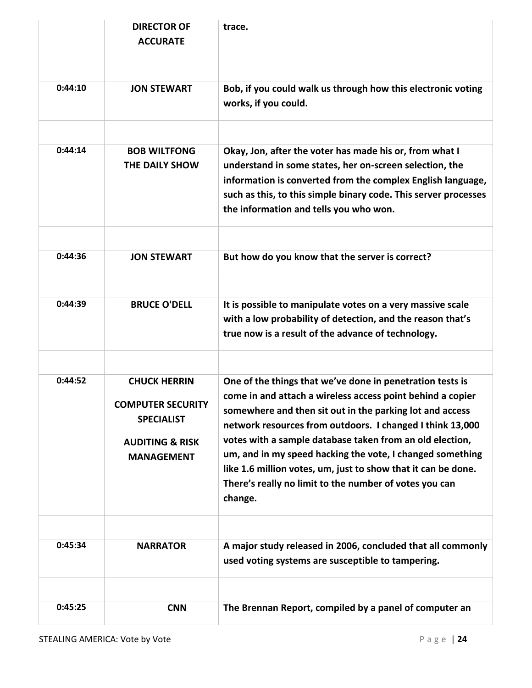|         | <b>DIRECTOR OF</b><br><b>ACCURATE</b>                                                                                   | trace.                                                                                                                                                                                                                                                                                                                                                                                                                                                                                                          |
|---------|-------------------------------------------------------------------------------------------------------------------------|-----------------------------------------------------------------------------------------------------------------------------------------------------------------------------------------------------------------------------------------------------------------------------------------------------------------------------------------------------------------------------------------------------------------------------------------------------------------------------------------------------------------|
| 0:44:10 | <b>JON STEWART</b>                                                                                                      | Bob, if you could walk us through how this electronic voting<br>works, if you could.                                                                                                                                                                                                                                                                                                                                                                                                                            |
| 0:44:14 | <b>BOB WILTFONG</b><br>THE DAILY SHOW                                                                                   | Okay, Jon, after the voter has made his or, from what I<br>understand in some states, her on-screen selection, the<br>information is converted from the complex English language,<br>such as this, to this simple binary code. This server processes<br>the information and tells you who won.                                                                                                                                                                                                                  |
| 0:44:36 | <b>JON STEWART</b>                                                                                                      | But how do you know that the server is correct?                                                                                                                                                                                                                                                                                                                                                                                                                                                                 |
| 0:44:39 | <b>BRUCE O'DELL</b>                                                                                                     | It is possible to manipulate votes on a very massive scale<br>with a low probability of detection, and the reason that's<br>true now is a result of the advance of technology.                                                                                                                                                                                                                                                                                                                                  |
| 0:44:52 | <b>CHUCK HERRIN</b><br><b>COMPUTER SECURITY</b><br><b>SPECIALIST</b><br><b>AUDITING &amp; RISK</b><br><b>MANAGEMENT</b> | One of the things that we've done in penetration tests is<br>come in and attach a wireless access point behind a copier<br>somewhere and then sit out in the parking lot and access<br>network resources from outdoors. I changed I think 13,000<br>votes with a sample database taken from an old election,<br>um, and in my speed hacking the vote, I changed something<br>like 1.6 million votes, um, just to show that it can be done.<br>There's really no limit to the number of votes you can<br>change. |
| 0:45:34 | <b>NARRATOR</b>                                                                                                         | A major study released in 2006, concluded that all commonly<br>used voting systems are susceptible to tampering.                                                                                                                                                                                                                                                                                                                                                                                                |
| 0:45:25 | <b>CNN</b>                                                                                                              | The Brennan Report, compiled by a panel of computer an                                                                                                                                                                                                                                                                                                                                                                                                                                                          |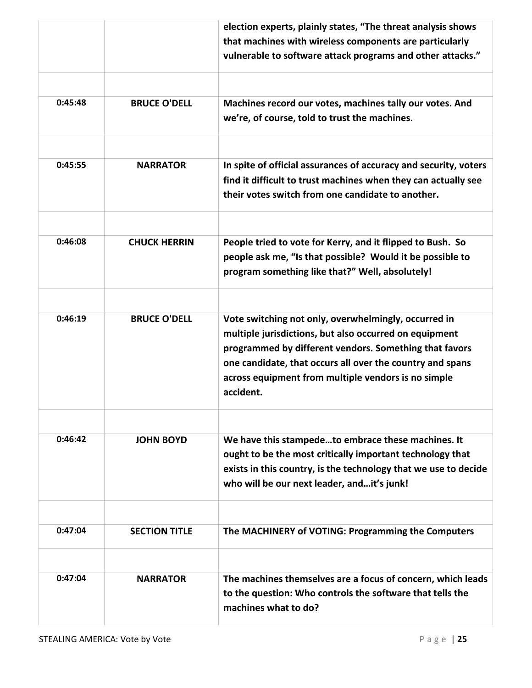|         |                      | election experts, plainly states, "The threat analysis shows     |
|---------|----------------------|------------------------------------------------------------------|
|         |                      | that machines with wireless components are particularly          |
|         |                      | vulnerable to software attack programs and other attacks."       |
|         |                      |                                                                  |
| 0:45:48 | <b>BRUCE O'DELL</b>  | Machines record our votes, machines tally our votes. And         |
|         |                      | we're, of course, told to trust the machines.                    |
|         |                      |                                                                  |
| 0:45:55 | <b>NARRATOR</b>      | In spite of official assurances of accuracy and security, voters |
|         |                      | find it difficult to trust machines when they can actually see   |
|         |                      | their votes switch from one candidate to another.                |
|         |                      |                                                                  |
| 0:46:08 | <b>CHUCK HERRIN</b>  | People tried to vote for Kerry, and it flipped to Bush. So       |
|         |                      | people ask me, "Is that possible? Would it be possible to        |
|         |                      | program something like that?" Well, absolutely!                  |
|         |                      |                                                                  |
| 0:46:19 | <b>BRUCE O'DELL</b>  | Vote switching not only, overwhelmingly, occurred in             |
|         |                      | multiple jurisdictions, but also occurred on equipment           |
|         |                      | programmed by different vendors. Something that favors           |
|         |                      | one candidate, that occurs all over the country and spans        |
|         |                      | across equipment from multiple vendors is no simple              |
|         |                      | accident.                                                        |
|         |                      |                                                                  |
| 0:46:42 | <b>JOHN BOYD</b>     | We have this stampedeto embrace these machines. It               |
|         |                      | ought to be the most critically important technology that        |
|         |                      | exists in this country, is the technology that we use to decide  |
|         |                      | who will be our next leader, andit's junk!                       |
|         |                      |                                                                  |
| 0:47:04 | <b>SECTION TITLE</b> | The MACHINERY of VOTING: Programming the Computers               |
|         |                      |                                                                  |
| 0:47:04 | <b>NARRATOR</b>      | The machines themselves are a focus of concern, which leads      |
|         |                      | to the question: Who controls the software that tells the        |
|         |                      | machines what to do?                                             |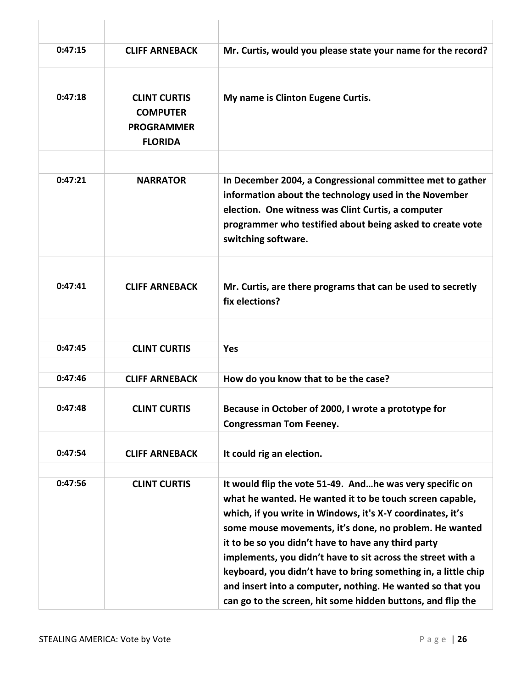| 0:47:15 | <b>CLIFF ARNEBACK</b>                                                         | Mr. Curtis, would you please state your name for the record?                                                                                                                                                                                                                                                                                                                                                                                                                                                                                                      |
|---------|-------------------------------------------------------------------------------|-------------------------------------------------------------------------------------------------------------------------------------------------------------------------------------------------------------------------------------------------------------------------------------------------------------------------------------------------------------------------------------------------------------------------------------------------------------------------------------------------------------------------------------------------------------------|
| 0:47:18 | <b>CLINT CURTIS</b><br><b>COMPUTER</b><br><b>PROGRAMMER</b><br><b>FLORIDA</b> | My name is Clinton Eugene Curtis.                                                                                                                                                                                                                                                                                                                                                                                                                                                                                                                                 |
| 0:47:21 | <b>NARRATOR</b>                                                               | In December 2004, a Congressional committee met to gather<br>information about the technology used in the November<br>election. One witness was Clint Curtis, a computer<br>programmer who testified about being asked to create vote<br>switching software.                                                                                                                                                                                                                                                                                                      |
| 0:47:41 | <b>CLIFF ARNEBACK</b>                                                         | Mr. Curtis, are there programs that can be used to secretly<br>fix elections?                                                                                                                                                                                                                                                                                                                                                                                                                                                                                     |
| 0:47:45 | <b>CLINT CURTIS</b>                                                           | <b>Yes</b>                                                                                                                                                                                                                                                                                                                                                                                                                                                                                                                                                        |
| 0:47:46 | <b>CLIFF ARNEBACK</b>                                                         | How do you know that to be the case?                                                                                                                                                                                                                                                                                                                                                                                                                                                                                                                              |
| 0:47:48 | <b>CLINT CURTIS</b>                                                           | Because in October of 2000, I wrote a prototype for<br><b>Congressman Tom Feeney.</b>                                                                                                                                                                                                                                                                                                                                                                                                                                                                             |
| 0:47:54 | <b>CLIFF ARNEBACK</b>                                                         | It could rig an election.                                                                                                                                                                                                                                                                                                                                                                                                                                                                                                                                         |
| 0:47:56 | <b>CLINT CURTIS</b>                                                           | It would flip the vote 51-49. Andhe was very specific on<br>what he wanted. He wanted it to be touch screen capable,<br>which, if you write in Windows, it's X-Y coordinates, it's<br>some mouse movements, it's done, no problem. He wanted<br>it to be so you didn't have to have any third party<br>implements, you didn't have to sit across the street with a<br>keyboard, you didn't have to bring something in, a little chip<br>and insert into a computer, nothing. He wanted so that you<br>can go to the screen, hit some hidden buttons, and flip the |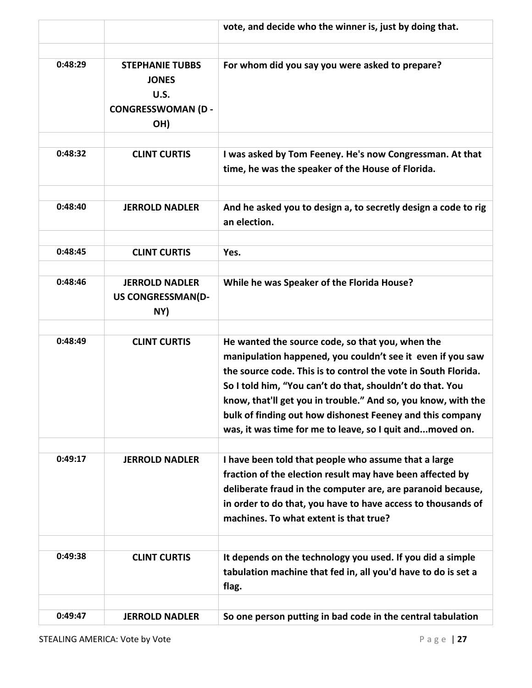|         |                                                                                   | vote, and decide who the winner is, just by doing that.                                                                                                                                                                                                                                                                                                                                                                                 |
|---------|-----------------------------------------------------------------------------------|-----------------------------------------------------------------------------------------------------------------------------------------------------------------------------------------------------------------------------------------------------------------------------------------------------------------------------------------------------------------------------------------------------------------------------------------|
| 0:48:29 | <b>STEPHANIE TUBBS</b><br><b>JONES</b><br>U.S.<br><b>CONGRESSWOMAN (D-</b><br>OH) | For whom did you say you were asked to prepare?                                                                                                                                                                                                                                                                                                                                                                                         |
| 0:48:32 | <b>CLINT CURTIS</b>                                                               | I was asked by Tom Feeney. He's now Congressman. At that<br>time, he was the speaker of the House of Florida.                                                                                                                                                                                                                                                                                                                           |
| 0:48:40 | <b>JERROLD NADLER</b>                                                             | And he asked you to design a, to secretly design a code to rig<br>an election.                                                                                                                                                                                                                                                                                                                                                          |
| 0:48:45 | <b>CLINT CURTIS</b>                                                               | Yes.                                                                                                                                                                                                                                                                                                                                                                                                                                    |
| 0:48:46 | <b>JERROLD NADLER</b><br><b>US CONGRESSMAN(D-</b><br>NY)                          | While he was Speaker of the Florida House?                                                                                                                                                                                                                                                                                                                                                                                              |
| 0:48:49 | <b>CLINT CURTIS</b>                                                               | He wanted the source code, so that you, when the<br>manipulation happened, you couldn't see it even if you saw<br>the source code. This is to control the vote in South Florida.<br>So I told him, "You can't do that, shouldn't do that. You<br>know, that'll get you in trouble." And so, you know, with the<br>bulk of finding out how dishonest Feeney and this company<br>was, it was time for me to leave, so I quit andmoved on. |
| 0:49:17 | <b>JERROLD NADLER</b>                                                             | I have been told that people who assume that a large<br>fraction of the election result may have been affected by<br>deliberate fraud in the computer are, are paranoid because,<br>in order to do that, you have to have access to thousands of<br>machines. To what extent is that true?                                                                                                                                              |
| 0:49:38 | <b>CLINT CURTIS</b>                                                               | It depends on the technology you used. If you did a simple<br>tabulation machine that fed in, all you'd have to do is set a<br>flag.                                                                                                                                                                                                                                                                                                    |
| 0:49:47 | <b>JERROLD NADLER</b>                                                             | So one person putting in bad code in the central tabulation                                                                                                                                                                                                                                                                                                                                                                             |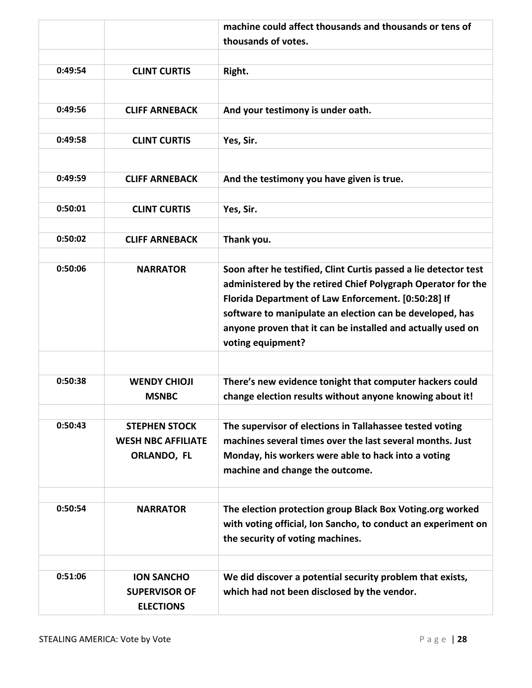|         |                                                                  | machine could affect thousands and thousands or tens of                                                                                                                                                                                                                                                                                 |
|---------|------------------------------------------------------------------|-----------------------------------------------------------------------------------------------------------------------------------------------------------------------------------------------------------------------------------------------------------------------------------------------------------------------------------------|
|         |                                                                  | thousands of votes.                                                                                                                                                                                                                                                                                                                     |
|         |                                                                  |                                                                                                                                                                                                                                                                                                                                         |
| 0:49:54 | <b>CLINT CURTIS</b>                                              | Right.                                                                                                                                                                                                                                                                                                                                  |
|         |                                                                  |                                                                                                                                                                                                                                                                                                                                         |
| 0:49:56 | <b>CLIFF ARNEBACK</b>                                            | And your testimony is under oath.                                                                                                                                                                                                                                                                                                       |
| 0:49:58 | <b>CLINT CURTIS</b>                                              | Yes, Sir.                                                                                                                                                                                                                                                                                                                               |
|         |                                                                  |                                                                                                                                                                                                                                                                                                                                         |
| 0:49:59 | <b>CLIFF ARNEBACK</b>                                            | And the testimony you have given is true.                                                                                                                                                                                                                                                                                               |
|         |                                                                  |                                                                                                                                                                                                                                                                                                                                         |
| 0:50:01 | <b>CLINT CURTIS</b>                                              | Yes, Sir.                                                                                                                                                                                                                                                                                                                               |
| 0:50:02 | <b>CLIFF ARNEBACK</b>                                            | Thank you.                                                                                                                                                                                                                                                                                                                              |
|         |                                                                  |                                                                                                                                                                                                                                                                                                                                         |
| 0:50:06 | <b>NARRATOR</b>                                                  | Soon after he testified, Clint Curtis passed a lie detector test<br>administered by the retired Chief Polygraph Operator for the<br>Florida Department of Law Enforcement. [0:50:28] If<br>software to manipulate an election can be developed, has<br>anyone proven that it can be installed and actually used on<br>voting equipment? |
|         |                                                                  |                                                                                                                                                                                                                                                                                                                                         |
| 0:50:38 | <b>WENDY CHIOJI</b><br><b>MSNBC</b>                              | There's new evidence tonight that computer hackers could<br>change election results without anyone knowing about it!                                                                                                                                                                                                                    |
| 0:50:43 | <b>STEPHEN STOCK</b><br><b>WESH NBC AFFILIATE</b><br>ORLANDO, FL | The supervisor of elections in Tallahassee tested voting<br>machines several times over the last several months. Just<br>Monday, his workers were able to hack into a voting<br>machine and change the outcome.                                                                                                                         |
|         |                                                                  |                                                                                                                                                                                                                                                                                                                                         |
| 0:50:54 | <b>NARRATOR</b>                                                  | The election protection group Black Box Voting.org worked<br>with voting official, Ion Sancho, to conduct an experiment on<br>the security of voting machines.                                                                                                                                                                          |
|         |                                                                  |                                                                                                                                                                                                                                                                                                                                         |
| 0:51:06 | <b>ION SANCHO</b><br><b>SUPERVISOR OF</b><br><b>ELECTIONS</b>    | We did discover a potential security problem that exists,<br>which had not been disclosed by the vendor.                                                                                                                                                                                                                                |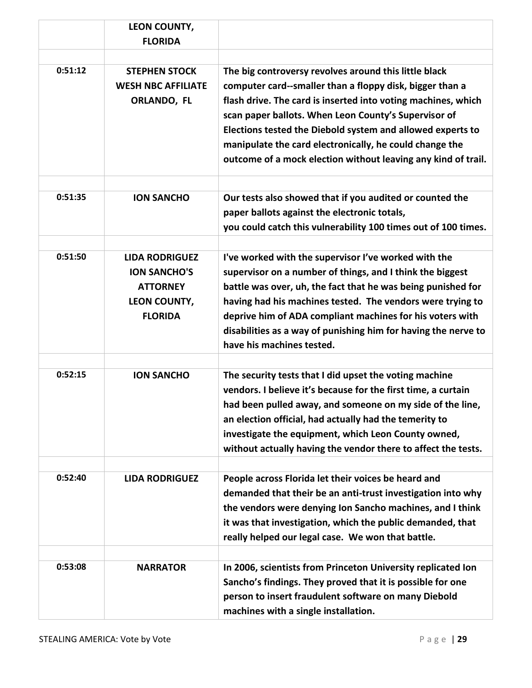|         | LEON COUNTY,                                                                                             |                                                                                                                                                                                                                                                                                                                                                                                                                                      |
|---------|----------------------------------------------------------------------------------------------------------|--------------------------------------------------------------------------------------------------------------------------------------------------------------------------------------------------------------------------------------------------------------------------------------------------------------------------------------------------------------------------------------------------------------------------------------|
|         | <b>FLORIDA</b>                                                                                           |                                                                                                                                                                                                                                                                                                                                                                                                                                      |
|         |                                                                                                          |                                                                                                                                                                                                                                                                                                                                                                                                                                      |
| 0:51:12 | <b>STEPHEN STOCK</b><br><b>WESH NBC AFFILIATE</b><br>ORLANDO, FL                                         | The big controversy revolves around this little black<br>computer card--smaller than a floppy disk, bigger than a<br>flash drive. The card is inserted into voting machines, which<br>scan paper ballots. When Leon County's Supervisor of<br>Elections tested the Diebold system and allowed experts to<br>manipulate the card electronically, he could change the<br>outcome of a mock election without leaving any kind of trail. |
| 0:51:35 | <b>ION SANCHO</b>                                                                                        | Our tests also showed that if you audited or counted the<br>paper ballots against the electronic totals,<br>you could catch this vulnerability 100 times out of 100 times.                                                                                                                                                                                                                                                           |
| 0:51:50 | <b>LIDA RODRIGUEZ</b><br><b>ION SANCHO'S</b><br><b>ATTORNEY</b><br><b>LEON COUNTY,</b><br><b>FLORIDA</b> | I've worked with the supervisor I've worked with the<br>supervisor on a number of things, and I think the biggest<br>battle was over, uh, the fact that he was being punished for<br>having had his machines tested. The vendors were trying to<br>deprive him of ADA compliant machines for his voters with<br>disabilities as a way of punishing him for having the nerve to<br>have his machines tested.                          |
| 0:52:15 | <b>ION SANCHO</b>                                                                                        | The security tests that I did upset the voting machine<br>vendors. I believe it's because for the first time, a curtain<br>had been pulled away, and someone on my side of the line,<br>an election official, had actually had the temerity to<br>investigate the equipment, which Leon County owned,<br>without actually having the vendor there to affect the tests.                                                               |
| 0:52:40 | <b>LIDA RODRIGUEZ</b>                                                                                    | People across Florida let their voices be heard and<br>demanded that their be an anti-trust investigation into why<br>the vendors were denying Ion Sancho machines, and I think<br>it was that investigation, which the public demanded, that<br>really helped our legal case. We won that battle.                                                                                                                                   |
| 0:53:08 | <b>NARRATOR</b>                                                                                          | In 2006, scientists from Princeton University replicated Ion<br>Sancho's findings. They proved that it is possible for one<br>person to insert fraudulent software on many Diebold<br>machines with a single installation.                                                                                                                                                                                                           |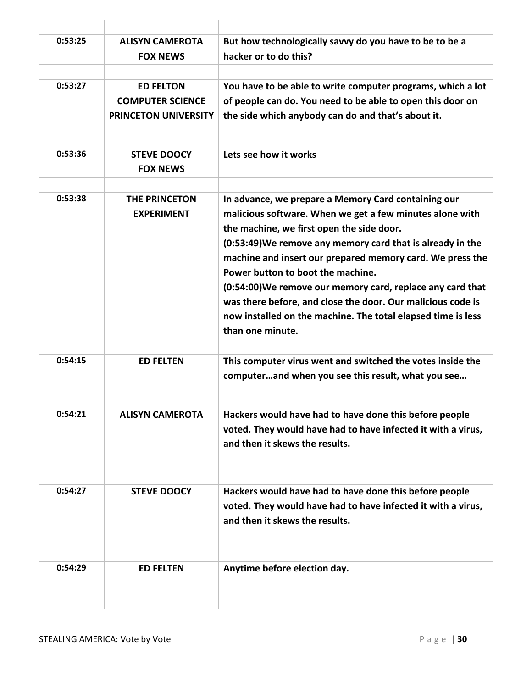| 0:53:25 | <b>ALISYN CAMEROTA</b><br><b>FOX NEWS</b>                                  | But how technologically savvy do you have to be to be a<br>hacker or to do this?                                                                                                                                                                                                                                                                                                                                                                                                                                                              |
|---------|----------------------------------------------------------------------------|-----------------------------------------------------------------------------------------------------------------------------------------------------------------------------------------------------------------------------------------------------------------------------------------------------------------------------------------------------------------------------------------------------------------------------------------------------------------------------------------------------------------------------------------------|
| 0:53:27 | <b>ED FELTON</b><br><b>COMPUTER SCIENCE</b><br><b>PRINCETON UNIVERSITY</b> | You have to be able to write computer programs, which a lot<br>of people can do. You need to be able to open this door on<br>the side which anybody can do and that's about it.                                                                                                                                                                                                                                                                                                                                                               |
| 0:53:36 | <b>STEVE DOOCY</b><br><b>FOX NEWS</b>                                      | Lets see how it works                                                                                                                                                                                                                                                                                                                                                                                                                                                                                                                         |
| 0:53:38 | THE PRINCETON<br><b>EXPERIMENT</b>                                         | In advance, we prepare a Memory Card containing our<br>malicious software. When we get a few minutes alone with<br>the machine, we first open the side door.<br>(0:53:49) We remove any memory card that is already in the<br>machine and insert our prepared memory card. We press the<br>Power button to boot the machine.<br>(0:54:00) We remove our memory card, replace any card that<br>was there before, and close the door. Our malicious code is<br>now installed on the machine. The total elapsed time is less<br>than one minute. |
| 0:54:15 | <b>ED FELTEN</b>                                                           | This computer virus went and switched the votes inside the<br>computerand when you see this result, what you see                                                                                                                                                                                                                                                                                                                                                                                                                              |
| 0:54:21 | ALISYN CAMEROTA                                                            | Hackers would have had to have done this before people<br>voted. They would have had to have infected it with a virus,<br>and then it skews the results.                                                                                                                                                                                                                                                                                                                                                                                      |
| 0:54:27 | <b>STEVE DOOCY</b>                                                         | Hackers would have had to have done this before people<br>voted. They would have had to have infected it with a virus,<br>and then it skews the results.                                                                                                                                                                                                                                                                                                                                                                                      |
| 0:54:29 | <b>ED FELTEN</b>                                                           | Anytime before election day.                                                                                                                                                                                                                                                                                                                                                                                                                                                                                                                  |
|         |                                                                            |                                                                                                                                                                                                                                                                                                                                                                                                                                                                                                                                               |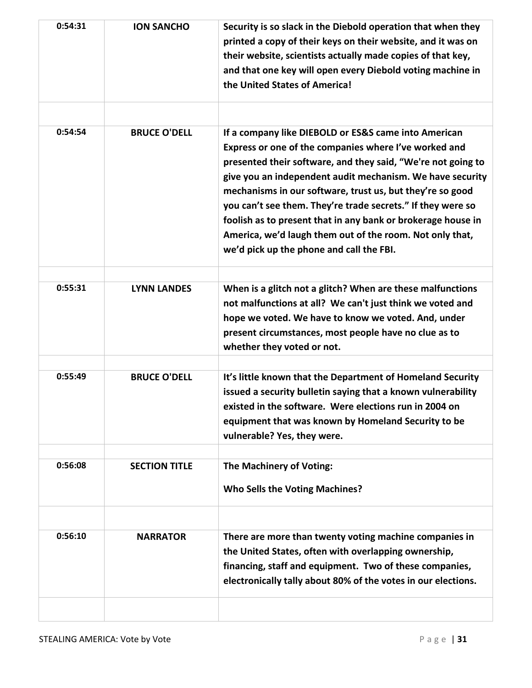| 0:54:31 | <b>ION SANCHO</b>    | Security is so slack in the Diebold operation that when they<br>printed a copy of their keys on their website, and it was on<br>their website, scientists actually made copies of that key,<br>and that one key will open every Diebold voting machine in<br>the United States of America!                                                                                                                                                                                                                                                     |
|---------|----------------------|------------------------------------------------------------------------------------------------------------------------------------------------------------------------------------------------------------------------------------------------------------------------------------------------------------------------------------------------------------------------------------------------------------------------------------------------------------------------------------------------------------------------------------------------|
| 0:54:54 | <b>BRUCE O'DELL</b>  | If a company like DIEBOLD or ES&S came into American<br>Express or one of the companies where I've worked and<br>presented their software, and they said, "We're not going to<br>give you an independent audit mechanism. We have security<br>mechanisms in our software, trust us, but they're so good<br>you can't see them. They're trade secrets." If they were so<br>foolish as to present that in any bank or brokerage house in<br>America, we'd laugh them out of the room. Not only that,<br>we'd pick up the phone and call the FBI. |
| 0:55:31 | <b>LYNN LANDES</b>   | When is a glitch not a glitch? When are these malfunctions<br>not malfunctions at all? We can't just think we voted and<br>hope we voted. We have to know we voted. And, under<br>present circumstances, most people have no clue as to<br>whether they voted or not.                                                                                                                                                                                                                                                                          |
| 0:55:49 | <b>BRUCE O'DELL</b>  | It's little known that the Department of Homeland Security<br>issued a security bulletin saying that a known vulnerability<br>existed in the software. Were elections run in 2004 on<br>equipment that was known by Homeland Security to be<br>vulnerable? Yes, they were.                                                                                                                                                                                                                                                                     |
| 0:56:08 | <b>SECTION TITLE</b> | The Machinery of Voting:<br><b>Who Sells the Voting Machines?</b>                                                                                                                                                                                                                                                                                                                                                                                                                                                                              |
| 0:56:10 | <b>NARRATOR</b>      | There are more than twenty voting machine companies in<br>the United States, often with overlapping ownership,<br>financing, staff and equipment. Two of these companies,<br>electronically tally about 80% of the votes in our elections.                                                                                                                                                                                                                                                                                                     |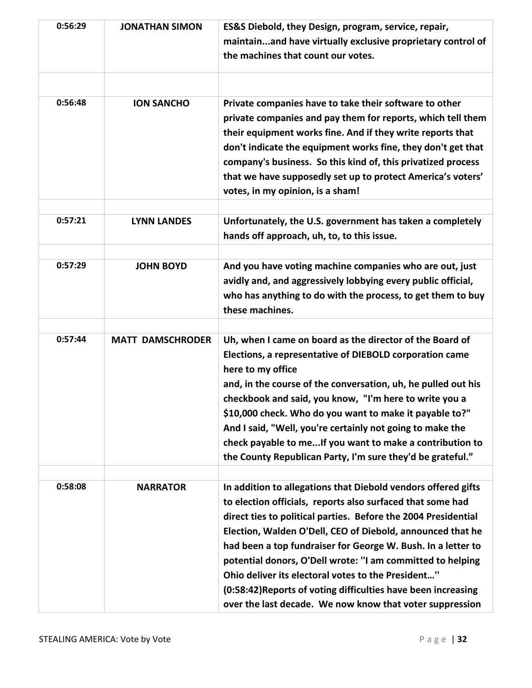| 0:56:29 | <b>JONATHAN SIMON</b>   | ES&S Diebold, they Design, program, service, repair,<br>maintainand have virtually exclusive proprietary control of<br>the machines that count our votes.                                                                                                                                                                                                                                                                                                                                                                                                                    |
|---------|-------------------------|------------------------------------------------------------------------------------------------------------------------------------------------------------------------------------------------------------------------------------------------------------------------------------------------------------------------------------------------------------------------------------------------------------------------------------------------------------------------------------------------------------------------------------------------------------------------------|
|         |                         |                                                                                                                                                                                                                                                                                                                                                                                                                                                                                                                                                                              |
| 0:56:48 | <b>ION SANCHO</b>       | Private companies have to take their software to other<br>private companies and pay them for reports, which tell them<br>their equipment works fine. And if they write reports that<br>don't indicate the equipment works fine, they don't get that<br>company's business. So this kind of, this privatized process<br>that we have supposedly set up to protect America's voters'<br>votes, in my opinion, is a sham!                                                                                                                                                       |
| 0:57:21 | <b>LYNN LANDES</b>      | Unfortunately, the U.S. government has taken a completely<br>hands off approach, uh, to, to this issue.                                                                                                                                                                                                                                                                                                                                                                                                                                                                      |
| 0:57:29 | <b>JOHN BOYD</b>        | And you have voting machine companies who are out, just<br>avidly and, and aggressively lobbying every public official,<br>who has anything to do with the process, to get them to buy<br>these machines.                                                                                                                                                                                                                                                                                                                                                                    |
| 0:57:44 | <b>MATT DAMSCHRODER</b> | Uh, when I came on board as the director of the Board of<br>Elections, a representative of DIEBOLD corporation came<br>here to my office<br>and, in the course of the conversation, uh, he pulled out his<br>checkbook and said, you know, "I'm here to write you a<br>\$10,000 check. Who do you want to make it payable to?"<br>And I said, "Well, you're certainly not going to make the<br>check payable to me If you want to make a contribution to<br>the County Republican Party, I'm sure they'd be grateful."                                                       |
| 0:58:08 | <b>NARRATOR</b>         | In addition to allegations that Diebold vendors offered gifts<br>to election officials, reports also surfaced that some had<br>direct ties to political parties. Before the 2004 Presidential<br>Election, Walden O'Dell, CEO of Diebold, announced that he<br>had been a top fundraiser for George W. Bush. In a letter to<br>potential donors, O'Dell wrote: "I am committed to helping<br>Ohio deliver its electoral votes to the President"<br>(0:58:42) Reports of voting difficulties have been increasing<br>over the last decade. We now know that voter suppression |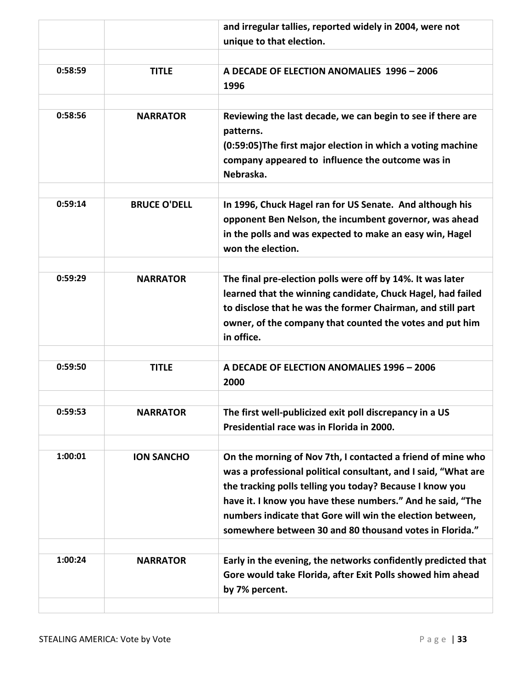|         |                     | and irregular tallies, reported widely in 2004, were not<br>unique to that election.                                                                                                                                                                                                                                                                                            |
|---------|---------------------|---------------------------------------------------------------------------------------------------------------------------------------------------------------------------------------------------------------------------------------------------------------------------------------------------------------------------------------------------------------------------------|
| 0:58:59 | <b>TITLE</b>        | A DECADE OF ELECTION ANOMALIES 1996 - 2006<br>1996                                                                                                                                                                                                                                                                                                                              |
| 0:58:56 | <b>NARRATOR</b>     | Reviewing the last decade, we can begin to see if there are<br>patterns.<br>(0:59:05) The first major election in which a voting machine<br>company appeared to influence the outcome was in<br>Nebraska.                                                                                                                                                                       |
| 0:59:14 | <b>BRUCE O'DELL</b> | In 1996, Chuck Hagel ran for US Senate. And although his<br>opponent Ben Nelson, the incumbent governor, was ahead<br>in the polls and was expected to make an easy win, Hagel<br>won the election.                                                                                                                                                                             |
| 0:59:29 | <b>NARRATOR</b>     | The final pre-election polls were off by 14%. It was later<br>learned that the winning candidate, Chuck Hagel, had failed<br>to disclose that he was the former Chairman, and still part<br>owner, of the company that counted the votes and put him<br>in office.                                                                                                              |
| 0:59:50 | <b>TITLE</b>        | A DECADE OF ELECTION ANOMALIES 1996 - 2006<br>2000                                                                                                                                                                                                                                                                                                                              |
| 0:59:53 | <b>NARRATOR</b>     | The first well-publicized exit poll discrepancy in a US<br>Presidential race was in Florida in 2000.                                                                                                                                                                                                                                                                            |
| 1:00:01 | <b>ION SANCHO</b>   | On the morning of Nov 7th, I contacted a friend of mine who<br>was a professional political consultant, and I said, "What are<br>the tracking polls telling you today? Because I know you<br>have it. I know you have these numbers." And he said, "The<br>numbers indicate that Gore will win the election between,<br>somewhere between 30 and 80 thousand votes in Florida." |
| 1:00:24 | <b>NARRATOR</b>     | Early in the evening, the networks confidently predicted that<br>Gore would take Florida, after Exit Polls showed him ahead<br>by 7% percent.                                                                                                                                                                                                                                   |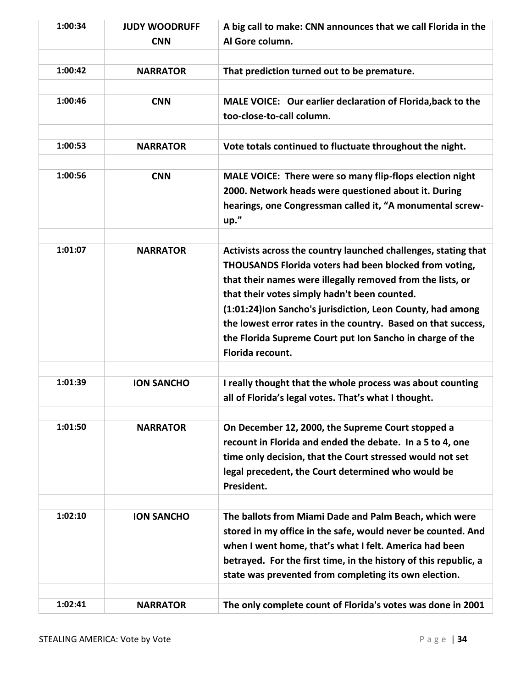| 1:00:34 | <b>JUDY WOODRUFF</b><br><b>CNN</b> | A big call to make: CNN announces that we call Florida in the<br>Al Gore column.                                                                                                                                                                                                                                                                                                                                                                        |
|---------|------------------------------------|---------------------------------------------------------------------------------------------------------------------------------------------------------------------------------------------------------------------------------------------------------------------------------------------------------------------------------------------------------------------------------------------------------------------------------------------------------|
| 1:00:42 | <b>NARRATOR</b>                    | That prediction turned out to be premature.                                                                                                                                                                                                                                                                                                                                                                                                             |
| 1:00:46 | <b>CNN</b>                         | MALE VOICE: Our earlier declaration of Florida, back to the<br>too-close-to-call column.                                                                                                                                                                                                                                                                                                                                                                |
| 1:00:53 | <b>NARRATOR</b>                    | Vote totals continued to fluctuate throughout the night.                                                                                                                                                                                                                                                                                                                                                                                                |
| 1:00:56 | <b>CNN</b>                         | MALE VOICE: There were so many flip-flops election night<br>2000. Network heads were questioned about it. During<br>hearings, one Congressman called it, "A monumental screw-<br>up."                                                                                                                                                                                                                                                                   |
| 1:01:07 | <b>NARRATOR</b>                    | Activists across the country launched challenges, stating that<br>THOUSANDS Florida voters had been blocked from voting,<br>that their names were illegally removed from the lists, or<br>that their votes simply hadn't been counted.<br>(1:01:24) Ion Sancho's jurisdiction, Leon County, had among<br>the lowest error rates in the country. Based on that success,<br>the Florida Supreme Court put Ion Sancho in charge of the<br>Florida recount. |
| 1:01:39 | <b>ION SANCHO</b>                  | I really thought that the whole process was about counting<br>all of Florida's legal votes. That's what I thought.                                                                                                                                                                                                                                                                                                                                      |
| 1:01:50 | <b>NARRATOR</b>                    | On December 12, 2000, the Supreme Court stopped a<br>recount in Florida and ended the debate. In a 5 to 4, one<br>time only decision, that the Court stressed would not set<br>legal precedent, the Court determined who would be<br>President.                                                                                                                                                                                                         |
| 1:02:10 | <b>ION SANCHO</b>                  | The ballots from Miami Dade and Palm Beach, which were<br>stored in my office in the safe, would never be counted. And<br>when I went home, that's what I felt. America had been<br>betrayed. For the first time, in the history of this republic, a<br>state was prevented from completing its own election.                                                                                                                                           |
| 1:02:41 | <b>NARRATOR</b>                    | The only complete count of Florida's votes was done in 2001                                                                                                                                                                                                                                                                                                                                                                                             |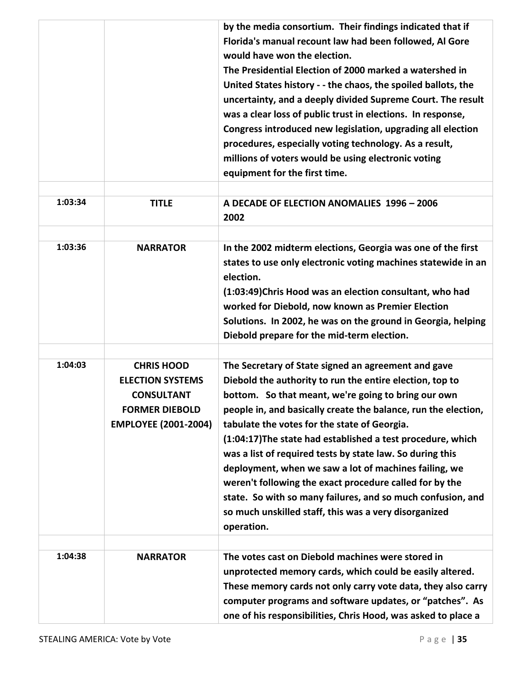|         |                                                                                                                           | by the media consortium. Their findings indicated that if<br>Florida's manual recount law had been followed, Al Gore<br>would have won the election.<br>The Presidential Election of 2000 marked a watershed in<br>United States history - - the chaos, the spoiled ballots, the<br>uncertainty, and a deeply divided Supreme Court. The result<br>was a clear loss of public trust in elections. In response,<br>Congress introduced new legislation, upgrading all election<br>procedures, especially voting technology. As a result,<br>millions of voters would be using electronic voting<br>equipment for the first time.                                                |
|---------|---------------------------------------------------------------------------------------------------------------------------|--------------------------------------------------------------------------------------------------------------------------------------------------------------------------------------------------------------------------------------------------------------------------------------------------------------------------------------------------------------------------------------------------------------------------------------------------------------------------------------------------------------------------------------------------------------------------------------------------------------------------------------------------------------------------------|
| 1:03:34 | <b>TITLE</b>                                                                                                              | A DECADE OF ELECTION ANOMALIES 1996 - 2006<br>2002                                                                                                                                                                                                                                                                                                                                                                                                                                                                                                                                                                                                                             |
| 1:03:36 | <b>NARRATOR</b>                                                                                                           | In the 2002 midterm elections, Georgia was one of the first<br>states to use only electronic voting machines statewide in an<br>election.<br>(1:03:49) Chris Hood was an election consultant, who had<br>worked for Diebold, now known as Premier Election<br>Solutions. In 2002, he was on the ground in Georgia, helping<br>Diebold prepare for the mid-term election.                                                                                                                                                                                                                                                                                                       |
| 1:04:03 | <b>CHRIS HOOD</b><br><b>ELECTION SYSTEMS</b><br><b>CONSULTANT</b><br><b>FORMER DIEBOLD</b><br><b>EMPLOYEE (2001-2004)</b> | The Secretary of State signed an agreement and gave<br>Diebold the authority to run the entire election, top to<br>bottom. So that meant, we're going to bring our own<br>people in, and basically create the balance, run the election,<br>tabulate the votes for the state of Georgia.<br>(1:04:17) The state had established a test procedure, which<br>was a list of required tests by state law. So during this<br>deployment, when we saw a lot of machines failing, we<br>weren't following the exact procedure called for by the<br>state. So with so many failures, and so much confusion, and<br>so much unskilled staff, this was a very disorganized<br>operation. |
| 1:04:38 | <b>NARRATOR</b>                                                                                                           | The votes cast on Diebold machines were stored in<br>unprotected memory cards, which could be easily altered.<br>These memory cards not only carry vote data, they also carry<br>computer programs and software updates, or "patches". As<br>one of his responsibilities, Chris Hood, was asked to place a                                                                                                                                                                                                                                                                                                                                                                     |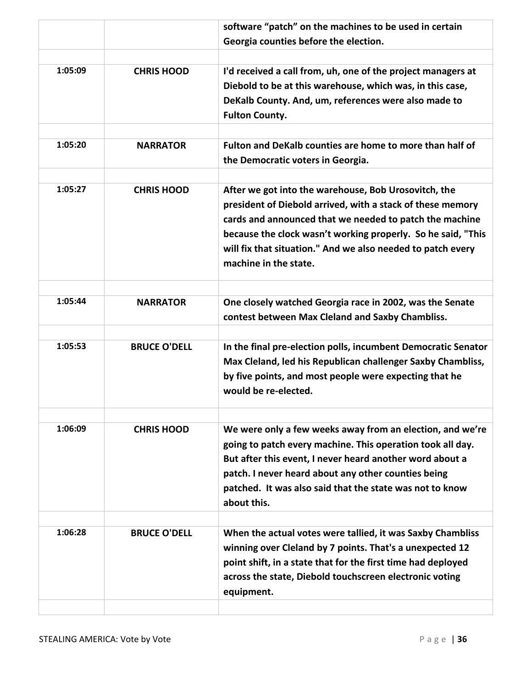|         |                     | software "patch" on the machines to be used in certain                                                                                                                                                                                                                                                                                |
|---------|---------------------|---------------------------------------------------------------------------------------------------------------------------------------------------------------------------------------------------------------------------------------------------------------------------------------------------------------------------------------|
|         |                     | Georgia counties before the election.                                                                                                                                                                                                                                                                                                 |
|         |                     |                                                                                                                                                                                                                                                                                                                                       |
| 1:05:09 | <b>CHRIS HOOD</b>   | I'd received a call from, uh, one of the project managers at<br>Diebold to be at this warehouse, which was, in this case,<br>DeKalb County. And, um, references were also made to<br><b>Fulton County.</b>                                                                                                                            |
| 1:05:20 | <b>NARRATOR</b>     | Fulton and DeKalb counties are home to more than half of<br>the Democratic voters in Georgia.                                                                                                                                                                                                                                         |
| 1:05:27 | <b>CHRIS HOOD</b>   | After we got into the warehouse, Bob Urosovitch, the<br>president of Diebold arrived, with a stack of these memory<br>cards and announced that we needed to patch the machine<br>because the clock wasn't working properly. So he said, "This<br>will fix that situation." And we also needed to patch every<br>machine in the state. |
| 1:05:44 | <b>NARRATOR</b>     | One closely watched Georgia race in 2002, was the Senate<br>contest between Max Cleland and Saxby Chambliss.                                                                                                                                                                                                                          |
| 1:05:53 | <b>BRUCE O'DELL</b> | In the final pre-election polls, incumbent Democratic Senator<br>Max Cleland, led his Republican challenger Saxby Chambliss,<br>by five points, and most people were expecting that he<br>would be re-elected.                                                                                                                        |
| 1:06:09 | <b>CHRIS HOOD</b>   | We were only a few weeks away from an election, and we're<br>going to patch every machine. This operation took all day.<br>But after this event, I never heard another word about a<br>patch. I never heard about any other counties being<br>patched. It was also said that the state was not to know<br>about this.                 |
| 1:06:28 | <b>BRUCE O'DELL</b> | When the actual votes were tallied, it was Saxby Chambliss<br>winning over Cleland by 7 points. That's a unexpected 12<br>point shift, in a state that for the first time had deployed<br>across the state, Diebold touchscreen electronic voting<br>equipment.                                                                       |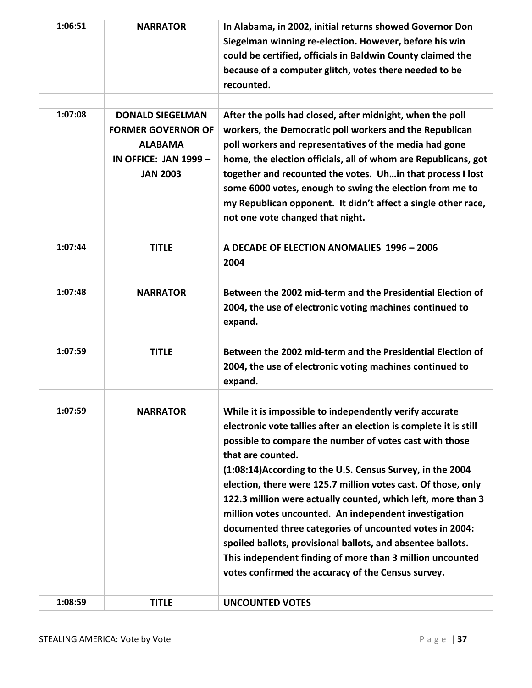| 1:06:51 | <b>NARRATOR</b>                                                                                                           | In Alabama, in 2002, initial returns showed Governor Don<br>Siegelman winning re-election. However, before his win<br>could be certified, officials in Baldwin County claimed the<br>because of a computer glitch, votes there needed to be<br>recounted.                                                                                                                                                                                                                                                                                                                                                                                                                                                         |
|---------|---------------------------------------------------------------------------------------------------------------------------|-------------------------------------------------------------------------------------------------------------------------------------------------------------------------------------------------------------------------------------------------------------------------------------------------------------------------------------------------------------------------------------------------------------------------------------------------------------------------------------------------------------------------------------------------------------------------------------------------------------------------------------------------------------------------------------------------------------------|
| 1:07:08 | <b>DONALD SIEGELMAN</b><br><b>FORMER GOVERNOR OF</b><br><b>ALABAMA</b><br><b>IN OFFICE: JAN 1999 -</b><br><b>JAN 2003</b> | After the polls had closed, after midnight, when the poll<br>workers, the Democratic poll workers and the Republican<br>poll workers and representatives of the media had gone<br>home, the election officials, all of whom are Republicans, got<br>together and recounted the votes. Uh in that process I lost<br>some 6000 votes, enough to swing the election from me to<br>my Republican opponent. It didn't affect a single other race,<br>not one vote changed that night.                                                                                                                                                                                                                                  |
| 1:07:44 | <b>TITLE</b>                                                                                                              | A DECADE OF ELECTION ANOMALIES 1996 - 2006<br>2004                                                                                                                                                                                                                                                                                                                                                                                                                                                                                                                                                                                                                                                                |
| 1:07:48 | <b>NARRATOR</b>                                                                                                           | Between the 2002 mid-term and the Presidential Election of<br>2004, the use of electronic voting machines continued to<br>expand.                                                                                                                                                                                                                                                                                                                                                                                                                                                                                                                                                                                 |
| 1:07:59 | <b>TITLE</b>                                                                                                              | Between the 2002 mid-term and the Presidential Election of<br>2004, the use of electronic voting machines continued to<br>expand.                                                                                                                                                                                                                                                                                                                                                                                                                                                                                                                                                                                 |
| 1:07:59 | <b>NARRATOR</b>                                                                                                           | While it is impossible to independently verify accurate<br>electronic vote tallies after an election is complete it is still<br>possible to compare the number of votes cast with those<br>that are counted.<br>(1:08:14) According to the U.S. Census Survey, in the 2004<br>election, there were 125.7 million votes cast. Of those, only<br>122.3 million were actually counted, which left, more than 3<br>million votes uncounted. An independent investigation<br>documented three categories of uncounted votes in 2004:<br>spoiled ballots, provisional ballots, and absentee ballots.<br>This independent finding of more than 3 million uncounted<br>votes confirmed the accuracy of the Census survey. |
| 1:08:59 | <b>TITLE</b>                                                                                                              | <b>UNCOUNTED VOTES</b>                                                                                                                                                                                                                                                                                                                                                                                                                                                                                                                                                                                                                                                                                            |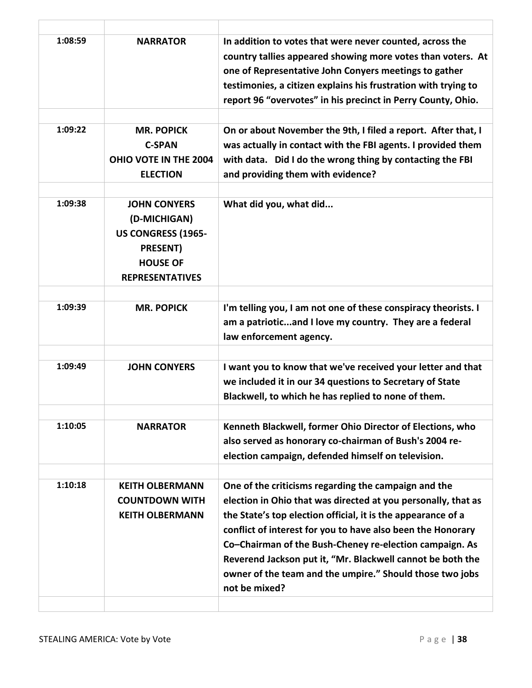| 1:08:59 | <b>NARRATOR</b>                                                                                                           | In addition to votes that were never counted, across the<br>country tallies appeared showing more votes than voters. At<br>one of Representative John Conyers meetings to gather<br>testimonies, a citizen explains his frustration with trying to<br>report 96 "overvotes" in his precinct in Perry County, Ohio.                                                                                                                                         |
|---------|---------------------------------------------------------------------------------------------------------------------------|------------------------------------------------------------------------------------------------------------------------------------------------------------------------------------------------------------------------------------------------------------------------------------------------------------------------------------------------------------------------------------------------------------------------------------------------------------|
| 1:09:22 | <b>MR. POPICK</b><br><b>C-SPAN</b><br>OHIO VOTE IN THE 2004<br><b>ELECTION</b>                                            | On or about November the 9th, I filed a report. After that, I<br>was actually in contact with the FBI agents. I provided them<br>with data. Did I do the wrong thing by contacting the FBI<br>and providing them with evidence?                                                                                                                                                                                                                            |
| 1:09:38 | <b>JOHN CONYERS</b><br>(D-MICHIGAN)<br>US CONGRESS (1965-<br><b>PRESENT)</b><br><b>HOUSE OF</b><br><b>REPRESENTATIVES</b> | What did you, what did                                                                                                                                                                                                                                                                                                                                                                                                                                     |
| 1:09:39 | <b>MR. POPICK</b>                                                                                                         | I'm telling you, I am not one of these conspiracy theorists. I<br>am a patrioticand I love my country. They are a federal<br>law enforcement agency.                                                                                                                                                                                                                                                                                                       |
| 1:09:49 | <b>JOHN CONYERS</b>                                                                                                       | I want you to know that we've received your letter and that<br>we included it in our 34 questions to Secretary of State<br>Blackwell, to which he has replied to none of them.                                                                                                                                                                                                                                                                             |
| 1:10:05 | <b>NARRATOR</b>                                                                                                           | Kenneth Blackwell, former Ohio Director of Elections, who<br>also served as honorary co-chairman of Bush's 2004 re-<br>election campaign, defended himself on television.                                                                                                                                                                                                                                                                                  |
| 1:10:18 | <b>KEITH OLBERMANN</b><br><b>COUNTDOWN WITH</b><br><b>KEITH OLBERMANN</b>                                                 | One of the criticisms regarding the campaign and the<br>election in Ohio that was directed at you personally, that as<br>the State's top election official, it is the appearance of a<br>conflict of interest for you to have also been the Honorary<br>Co-Chairman of the Bush-Cheney re-election campaign. As<br>Reverend Jackson put it, "Mr. Blackwell cannot be both the<br>owner of the team and the umpire." Should those two jobs<br>not be mixed? |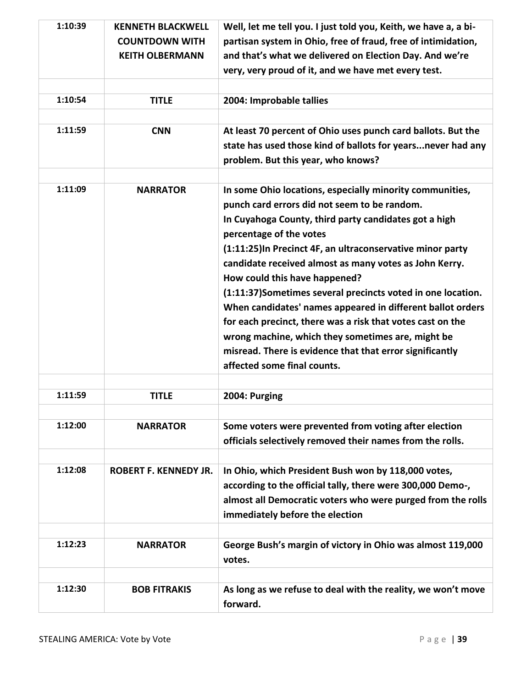| 1:10:39 | <b>KENNETH BLACKWELL</b>     | Well, let me tell you. I just told you, Keith, we have a, a bi- |
|---------|------------------------------|-----------------------------------------------------------------|
|         | <b>COUNTDOWN WITH</b>        | partisan system in Ohio, free of fraud, free of intimidation,   |
|         | <b>KEITH OLBERMANN</b>       | and that's what we delivered on Election Day. And we're         |
|         |                              | very, very proud of it, and we have met every test.             |
|         |                              |                                                                 |
| 1:10:54 | <b>TITLE</b>                 | 2004: Improbable tallies                                        |
|         |                              |                                                                 |
| 1:11:59 | <b>CNN</b>                   | At least 70 percent of Ohio uses punch card ballots. But the    |
|         |                              | state has used those kind of ballots for years never had any    |
|         |                              | problem. But this year, who knows?                              |
|         |                              |                                                                 |
| 1:11:09 | <b>NARRATOR</b>              | In some Ohio locations, especially minority communities,        |
|         |                              | punch card errors did not seem to be random.                    |
|         |                              | In Cuyahoga County, third party candidates got a high           |
|         |                              | percentage of the votes                                         |
|         |                              | (1:11:25) In Precinct 4F, an ultraconservative minor party      |
|         |                              | candidate received almost as many votes as John Kerry.          |
|         |                              | How could this have happened?                                   |
|         |                              | (1:11:37)Sometimes several precincts voted in one location.     |
|         |                              | When candidates' names appeared in different ballot orders      |
|         |                              | for each precinct, there was a risk that votes cast on the      |
|         |                              | wrong machine, which they sometimes are, might be               |
|         |                              | misread. There is evidence that that error significantly        |
|         |                              | affected some final counts.                                     |
|         |                              |                                                                 |
| 1:11:59 | <b>TITLE</b>                 | 2004: Purging                                                   |
|         |                              |                                                                 |
| 1:12:00 | <b>NARRATOR</b>              | Some voters were prevented from voting after election           |
|         |                              | officials selectively removed their names from the rolls.       |
|         |                              |                                                                 |
| 1:12:08 | <b>ROBERT F. KENNEDY JR.</b> | In Ohio, which President Bush won by 118,000 votes,             |
|         |                              | according to the official tally, there were 300,000 Demo-,      |
|         |                              | almost all Democratic voters who were purged from the rolls     |
|         |                              | immediately before the election                                 |
|         |                              |                                                                 |
| 1:12:23 | <b>NARRATOR</b>              | George Bush's margin of victory in Ohio was almost 119,000      |
|         |                              | votes.                                                          |
|         |                              |                                                                 |
| 1:12:30 | <b>BOB FITRAKIS</b>          | As long as we refuse to deal with the reality, we won't move    |
|         |                              | forward.                                                        |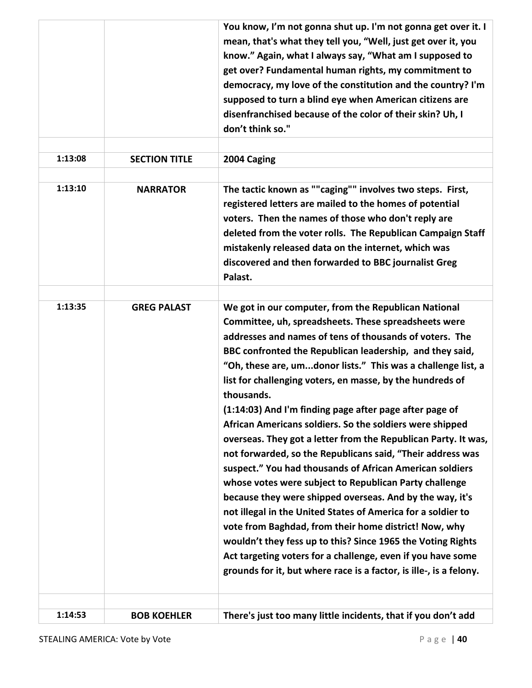|         |                      | You know, I'm not gonna shut up. I'm not gonna get over it. I<br>mean, that's what they tell you, "Well, just get over it, you<br>know." Again, what I always say, "What am I supposed to<br>get over? Fundamental human rights, my commitment to<br>democracy, my love of the constitution and the country? I'm                                                                                                                                                                                                                                                                                                                                                                                                                                                                                                                                                                                                                                                                                                                                                                                                                                     |
|---------|----------------------|------------------------------------------------------------------------------------------------------------------------------------------------------------------------------------------------------------------------------------------------------------------------------------------------------------------------------------------------------------------------------------------------------------------------------------------------------------------------------------------------------------------------------------------------------------------------------------------------------------------------------------------------------------------------------------------------------------------------------------------------------------------------------------------------------------------------------------------------------------------------------------------------------------------------------------------------------------------------------------------------------------------------------------------------------------------------------------------------------------------------------------------------------|
|         |                      | supposed to turn a blind eye when American citizens are<br>disenfranchised because of the color of their skin? Uh, I<br>don't think so."                                                                                                                                                                                                                                                                                                                                                                                                                                                                                                                                                                                                                                                                                                                                                                                                                                                                                                                                                                                                             |
|         |                      |                                                                                                                                                                                                                                                                                                                                                                                                                                                                                                                                                                                                                                                                                                                                                                                                                                                                                                                                                                                                                                                                                                                                                      |
| 1:13:08 | <b>SECTION TITLE</b> | 2004 Caging                                                                                                                                                                                                                                                                                                                                                                                                                                                                                                                                                                                                                                                                                                                                                                                                                                                                                                                                                                                                                                                                                                                                          |
|         |                      |                                                                                                                                                                                                                                                                                                                                                                                                                                                                                                                                                                                                                                                                                                                                                                                                                                                                                                                                                                                                                                                                                                                                                      |
| 1:13:10 | <b>NARRATOR</b>      | The tactic known as ""caging"" involves two steps. First,<br>registered letters are mailed to the homes of potential<br>voters. Then the names of those who don't reply are<br>deleted from the voter rolls. The Republican Campaign Staff<br>mistakenly released data on the internet, which was<br>discovered and then forwarded to BBC journalist Greg<br>Palast.                                                                                                                                                                                                                                                                                                                                                                                                                                                                                                                                                                                                                                                                                                                                                                                 |
|         |                      |                                                                                                                                                                                                                                                                                                                                                                                                                                                                                                                                                                                                                                                                                                                                                                                                                                                                                                                                                                                                                                                                                                                                                      |
| 1:13:35 | <b>GREG PALAST</b>   | We got in our computer, from the Republican National<br>Committee, uh, spreadsheets. These spreadsheets were<br>addresses and names of tens of thousands of voters. The<br>BBC confronted the Republican leadership, and they said,<br>"Oh, these are, umdonor lists." This was a challenge list, a<br>list for challenging voters, en masse, by the hundreds of<br>thousands.<br>(1:14:03) And I'm finding page after page after page of<br>African Americans soldiers. So the soldiers were shipped<br>overseas. They got a letter from the Republican Party. It was,<br>not forwarded, so the Republicans said, "Their address was<br>suspect." You had thousands of African American soldiers<br>whose votes were subject to Republican Party challenge<br>because they were shipped overseas. And by the way, it's<br>not illegal in the United States of America for a soldier to<br>vote from Baghdad, from their home district! Now, why<br>wouldn't they fess up to this? Since 1965 the Voting Rights<br>Act targeting voters for a challenge, even if you have some<br>grounds for it, but where race is a factor, is ille-, is a felony. |
|         |                      |                                                                                                                                                                                                                                                                                                                                                                                                                                                                                                                                                                                                                                                                                                                                                                                                                                                                                                                                                                                                                                                                                                                                                      |
| 1:14:53 | <b>BOB KOEHLER</b>   | There's just too many little incidents, that if you don't add                                                                                                                                                                                                                                                                                                                                                                                                                                                                                                                                                                                                                                                                                                                                                                                                                                                                                                                                                                                                                                                                                        |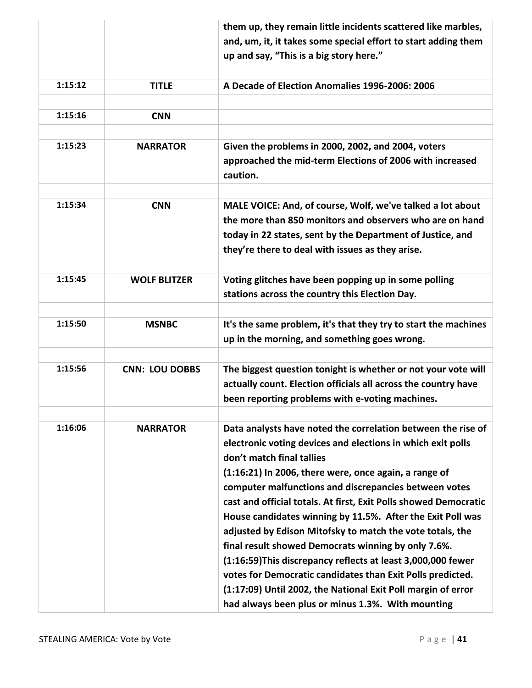|         |                       | them up, they remain little incidents scattered like marbles,    |
|---------|-----------------------|------------------------------------------------------------------|
|         |                       | and, um, it, it takes some special effort to start adding them   |
|         |                       | up and say, "This is a big story here."                          |
|         |                       |                                                                  |
| 1:15:12 | <b>TITLE</b>          | A Decade of Election Anomalies 1996-2006: 2006                   |
|         |                       |                                                                  |
| 1:15:16 | <b>CNN</b>            |                                                                  |
|         |                       |                                                                  |
| 1:15:23 | <b>NARRATOR</b>       | Given the problems in 2000, 2002, and 2004, voters               |
|         |                       | approached the mid-term Elections of 2006 with increased         |
|         |                       | caution.                                                         |
|         |                       |                                                                  |
| 1:15:34 | <b>CNN</b>            | MALE VOICE: And, of course, Wolf, we've talked a lot about       |
|         |                       | the more than 850 monitors and observers who are on hand         |
|         |                       | today in 22 states, sent by the Department of Justice, and       |
|         |                       | they're there to deal with issues as they arise.                 |
|         |                       |                                                                  |
| 1:15:45 | <b>WOLF BLITZER</b>   | Voting glitches have been popping up in some polling             |
|         |                       | stations across the country this Election Day.                   |
|         |                       |                                                                  |
| 1:15:50 | <b>MSNBC</b>          | It's the same problem, it's that they try to start the machines  |
|         |                       | up in the morning, and something goes wrong.                     |
|         |                       |                                                                  |
| 1:15:56 | <b>CNN: LOU DOBBS</b> | The biggest question tonight is whether or not your vote will    |
|         |                       | actually count. Election officials all across the country have   |
|         |                       | been reporting problems with e-voting machines.                  |
|         |                       |                                                                  |
| 1:16:06 | <b>NARRATOR</b>       | Data analysts have noted the correlation between the rise of     |
|         |                       | electronic voting devices and elections in which exit polls      |
|         |                       | don't match final tallies                                        |
|         |                       | (1:16:21) In 2006, there were, once again, a range of            |
|         |                       | computer malfunctions and discrepancies between votes            |
|         |                       | cast and official totals. At first, Exit Polls showed Democratic |
|         |                       |                                                                  |
|         |                       | House candidates winning by 11.5%. After the Exit Poll was       |
|         |                       | adjusted by Edison Mitofsky to match the vote totals, the        |
|         |                       | final result showed Democrats winning by only 7.6%.              |
|         |                       | (1:16:59) This discrepancy reflects at least 3,000,000 fewer     |
|         |                       | votes for Democratic candidates than Exit Polls predicted.       |
|         |                       | (1:17:09) Until 2002, the National Exit Poll margin of error     |
|         |                       | had always been plus or minus 1.3%. With mounting                |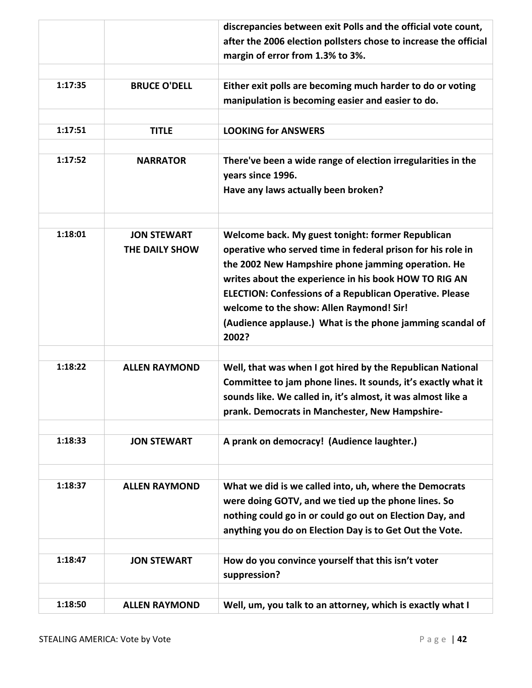|         |                      | discrepancies between exit Polls and the official vote count,    |
|---------|----------------------|------------------------------------------------------------------|
|         |                      | after the 2006 election pollsters chose to increase the official |
|         |                      | margin of error from 1.3% to 3%.                                 |
|         |                      |                                                                  |
| 1:17:35 | <b>BRUCE O'DELL</b>  | Either exit polls are becoming much harder to do or voting       |
|         |                      | manipulation is becoming easier and easier to do.                |
|         |                      |                                                                  |
| 1:17:51 |                      |                                                                  |
|         | <b>TITLE</b>         | <b>LOOKING for ANSWERS</b>                                       |
|         |                      |                                                                  |
| 1:17:52 | <b>NARRATOR</b>      | There've been a wide range of election irregularities in the     |
|         |                      | years since 1996.                                                |
|         |                      | Have any laws actually been broken?                              |
|         |                      |                                                                  |
|         |                      |                                                                  |
| 1:18:01 | <b>JON STEWART</b>   | Welcome back. My guest tonight: former Republican                |
|         | THE DAILY SHOW       | operative who served time in federal prison for his role in      |
|         |                      | the 2002 New Hampshire phone jamming operation. He               |
|         |                      | writes about the experience in his book HOW TO RIG AN            |
|         |                      | <b>ELECTION: Confessions of a Republican Operative. Please</b>   |
|         |                      | welcome to the show: Allen Raymond! Sir!                         |
|         |                      | (Audience applause.) What is the phone jamming scandal of        |
|         |                      |                                                                  |
|         |                      | 2002?                                                            |
|         |                      |                                                                  |
| 1:18:22 | <b>ALLEN RAYMOND</b> | Well, that was when I got hired by the Republican National       |
|         |                      | Committee to jam phone lines. It sounds, it's exactly what it    |
|         |                      | sounds like. We called in, it's almost, it was almost like a     |
|         |                      | prank. Democrats in Manchester, New Hampshire-                   |
|         |                      |                                                                  |
| 1:18:33 | <b>JON STEWART</b>   | A prank on democracy! (Audience laughter.)                       |
|         |                      |                                                                  |
|         |                      |                                                                  |
| 1:18:37 | <b>ALLEN RAYMOND</b> | What we did is we called into, uh, where the Democrats           |
|         |                      | were doing GOTV, and we tied up the phone lines. So              |
|         |                      | nothing could go in or could go out on Election Day, and         |
|         |                      | anything you do on Election Day is to Get Out the Vote.          |
|         |                      |                                                                  |
| 1:18:47 | <b>JON STEWART</b>   | How do you convince yourself that this isn't voter               |
|         |                      | suppression?                                                     |
|         |                      |                                                                  |
|         |                      |                                                                  |
| 1:18:50 | <b>ALLEN RAYMOND</b> | Well, um, you talk to an attorney, which is exactly what I       |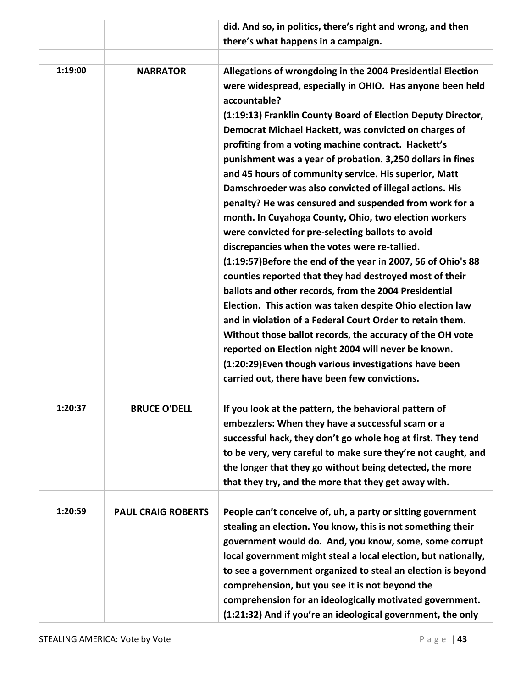|         |                           | did. And so, in politics, there's right and wrong, and then                                                                                                                                              |
|---------|---------------------------|----------------------------------------------------------------------------------------------------------------------------------------------------------------------------------------------------------|
|         |                           | there's what happens in a campaign.                                                                                                                                                                      |
|         |                           |                                                                                                                                                                                                          |
| 1:19:00 | <b>NARRATOR</b>           | Allegations of wrongdoing in the 2004 Presidential Election<br>were widespread, especially in OHIO. Has anyone been held<br>accountable?<br>(1:19:13) Franklin County Board of Election Deputy Director, |
|         |                           | Democrat Michael Hackett, was convicted on charges of<br>profiting from a voting machine contract. Hackett's<br>punishment was a year of probation. 3,250 dollars in fines                               |
|         |                           | and 45 hours of community service. His superior, Matt<br>Damschroeder was also convicted of illegal actions. His<br>penalty? He was censured and suspended from work for a                               |
|         |                           | month. In Cuyahoga County, Ohio, two election workers<br>were convicted for pre-selecting ballots to avoid                                                                                               |
|         |                           | discrepancies when the votes were re-tallied.<br>(1:19:57) Before the end of the year in 2007, 56 of Ohio's 88                                                                                           |
|         |                           | counties reported that they had destroyed most of their<br>ballots and other records, from the 2004 Presidential                                                                                         |
|         |                           | Election. This action was taken despite Ohio election law<br>and in violation of a Federal Court Order to retain them.                                                                                   |
|         |                           | Without those ballot records, the accuracy of the OH vote<br>reported on Election night 2004 will never be known.                                                                                        |
|         |                           | (1:20:29) Even though various investigations have been<br>carried out, there have been few convictions.                                                                                                  |
|         |                           |                                                                                                                                                                                                          |
| 1:20:37 | <b>BRUCE O'DELL</b>       | If you look at the pattern, the behavioral pattern of<br>embezzlers: When they have a successful scam or a                                                                                               |
|         |                           | successful hack, they don't go whole hog at first. They tend                                                                                                                                             |
|         |                           | to be very, very careful to make sure they're not caught, and                                                                                                                                            |
|         |                           | the longer that they go without being detected, the more                                                                                                                                                 |
|         |                           | that they try, and the more that they get away with.                                                                                                                                                     |
| 1:20:59 |                           |                                                                                                                                                                                                          |
|         | <b>PAUL CRAIG ROBERTS</b> | People can't conceive of, uh, a party or sitting government<br>stealing an election. You know, this is not something their                                                                               |
|         |                           | government would do. And, you know, some, some corrupt                                                                                                                                                   |
|         |                           | local government might steal a local election, but nationally,                                                                                                                                           |
|         |                           | to see a government organized to steal an election is beyond                                                                                                                                             |
|         |                           | comprehension, but you see it is not beyond the                                                                                                                                                          |
|         |                           | comprehension for an ideologically motivated government.                                                                                                                                                 |
|         |                           | (1:21:32) And if you're an ideological government, the only                                                                                                                                              |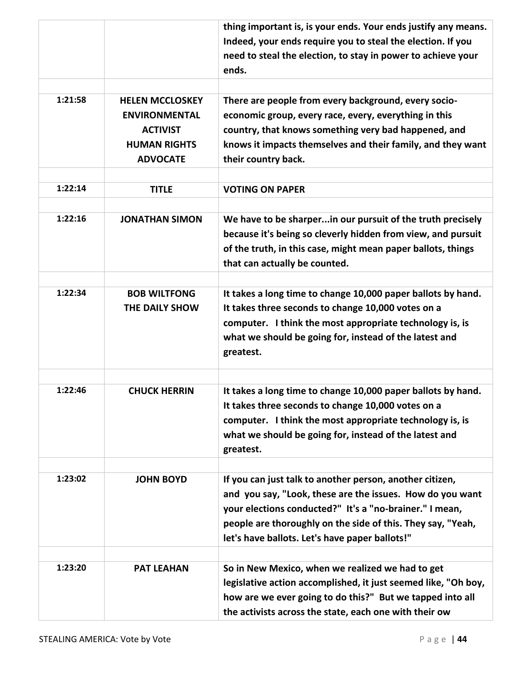|         |                        | thing important is, is your ends. Your ends justify any means. |
|---------|------------------------|----------------------------------------------------------------|
|         |                        | Indeed, your ends require you to steal the election. If you    |
|         |                        | need to steal the election, to stay in power to achieve your   |
|         |                        | ends.                                                          |
|         |                        |                                                                |
| 1:21:58 | <b>HELEN MCCLOSKEY</b> | There are people from every background, every socio-           |
|         |                        |                                                                |
|         | <b>ENVIRONMENTAL</b>   | economic group, every race, every, everything in this          |
|         | <b>ACTIVIST</b>        | country, that knows something very bad happened, and           |
|         | <b>HUMAN RIGHTS</b>    | knows it impacts themselves and their family, and they want    |
|         | <b>ADVOCATE</b>        | their country back.                                            |
|         |                        |                                                                |
| 1:22:14 | <b>TITLE</b>           | <b>VOTING ON PAPER</b>                                         |
|         |                        |                                                                |
| 1:22:16 | <b>JONATHAN SIMON</b>  | We have to be sharperin our pursuit of the truth precisely     |
|         |                        | because it's being so cleverly hidden from view, and pursuit   |
|         |                        | of the truth, in this case, might mean paper ballots, things   |
|         |                        | that can actually be counted.                                  |
|         |                        |                                                                |
| 1:22:34 | <b>BOB WILTFONG</b>    | It takes a long time to change 10,000 paper ballots by hand.   |
|         |                        |                                                                |
|         | THE DAILY SHOW         | It takes three seconds to change 10,000 votes on a             |
|         |                        | computer. I think the most appropriate technology is, is       |
|         |                        | what we should be going for, instead of the latest and         |
|         |                        | greatest.                                                      |
|         |                        |                                                                |
| 1:22:46 | <b>CHUCK HERRIN</b>    | It takes a long time to change 10,000 paper ballots by hand.   |
|         |                        | It takes three seconds to change 10,000 votes on a             |
|         |                        |                                                                |
|         |                        | computer. I think the most appropriate technology is, is       |
|         |                        | what we should be going for, instead of the latest and         |
|         |                        | greatest.                                                      |
|         |                        |                                                                |
| 1:23:02 | <b>JOHN BOYD</b>       | If you can just talk to another person, another citizen,       |
|         |                        | and you say, "Look, these are the issues. How do you want      |
|         |                        | your elections conducted?" It's a "no-brainer." I mean,        |
|         |                        | people are thoroughly on the side of this. They say, "Yeah,    |
|         |                        | let's have ballots. Let's have paper ballots!"                 |
|         |                        |                                                                |
| 1:23:20 | <b>PAT LEAHAN</b>      | So in New Mexico, when we realized we had to get               |
|         |                        | legislative action accomplished, it just seemed like, "Oh boy, |
|         |                        | how are we ever going to do this?" But we tapped into all      |
|         |                        | the activists across the state, each one with their ow         |
|         |                        |                                                                |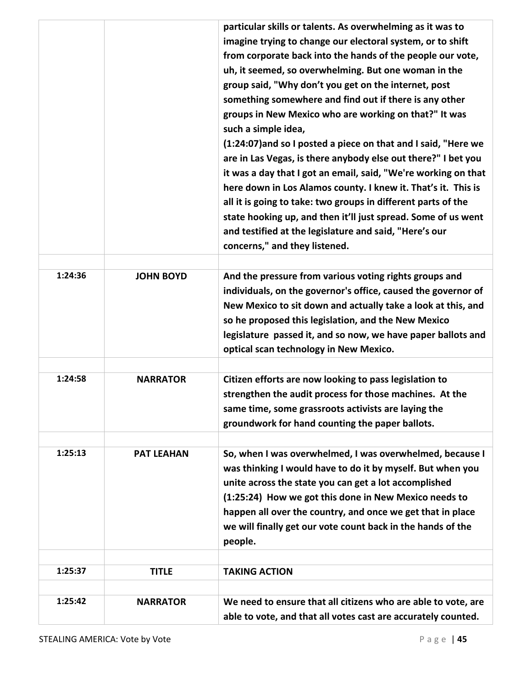|         |                   | particular skills or talents. As overwhelming as it was to<br>imagine trying to change our electoral system, or to shift<br>from corporate back into the hands of the people our vote,<br>uh, it seemed, so overwhelming. But one woman in the<br>group said, "Why don't you get on the internet, post<br>something somewhere and find out if there is any other<br>groups in New Mexico who are working on that?" It was<br>such a simple idea,<br>(1:24:07) and so I posted a piece on that and I said, "Here we<br>are in Las Vegas, is there anybody else out there?" I bet you<br>it was a day that I got an email, said, "We're working on that<br>here down in Los Alamos county. I knew it. That's it. This is<br>all it is going to take: two groups in different parts of the<br>state hooking up, and then it'll just spread. Some of us went<br>and testified at the legislature and said, "Here's our<br>concerns," and they listened. |
|---------|-------------------|-----------------------------------------------------------------------------------------------------------------------------------------------------------------------------------------------------------------------------------------------------------------------------------------------------------------------------------------------------------------------------------------------------------------------------------------------------------------------------------------------------------------------------------------------------------------------------------------------------------------------------------------------------------------------------------------------------------------------------------------------------------------------------------------------------------------------------------------------------------------------------------------------------------------------------------------------------|
| 1:24:36 | <b>JOHN BOYD</b>  | And the pressure from various voting rights groups and<br>individuals, on the governor's office, caused the governor of<br>New Mexico to sit down and actually take a look at this, and<br>so he proposed this legislation, and the New Mexico<br>legislature passed it, and so now, we have paper ballots and<br>optical scan technology in New Mexico.                                                                                                                                                                                                                                                                                                                                                                                                                                                                                                                                                                                            |
| 1:24:58 | <b>NARRATOR</b>   | Citizen efforts are now looking to pass legislation to<br>strengthen the audit process for those machines. At the<br>same time, some grassroots activists are laying the<br>groundwork for hand counting the paper ballots.                                                                                                                                                                                                                                                                                                                                                                                                                                                                                                                                                                                                                                                                                                                         |
| 1:25:13 | <b>PAT LEAHAN</b> | So, when I was overwhelmed, I was overwhelmed, because I<br>was thinking I would have to do it by myself. But when you<br>unite across the state you can get a lot accomplished<br>(1:25:24) How we got this done in New Mexico needs to<br>happen all over the country, and once we get that in place<br>we will finally get our vote count back in the hands of the<br>people.                                                                                                                                                                                                                                                                                                                                                                                                                                                                                                                                                                    |
| 1:25:37 | <b>TITLE</b>      | <b>TAKING ACTION</b>                                                                                                                                                                                                                                                                                                                                                                                                                                                                                                                                                                                                                                                                                                                                                                                                                                                                                                                                |
|         |                   |                                                                                                                                                                                                                                                                                                                                                                                                                                                                                                                                                                                                                                                                                                                                                                                                                                                                                                                                                     |
| 1:25:42 | <b>NARRATOR</b>   | We need to ensure that all citizens who are able to vote, are<br>able to vote, and that all votes cast are accurately counted.                                                                                                                                                                                                                                                                                                                                                                                                                                                                                                                                                                                                                                                                                                                                                                                                                      |